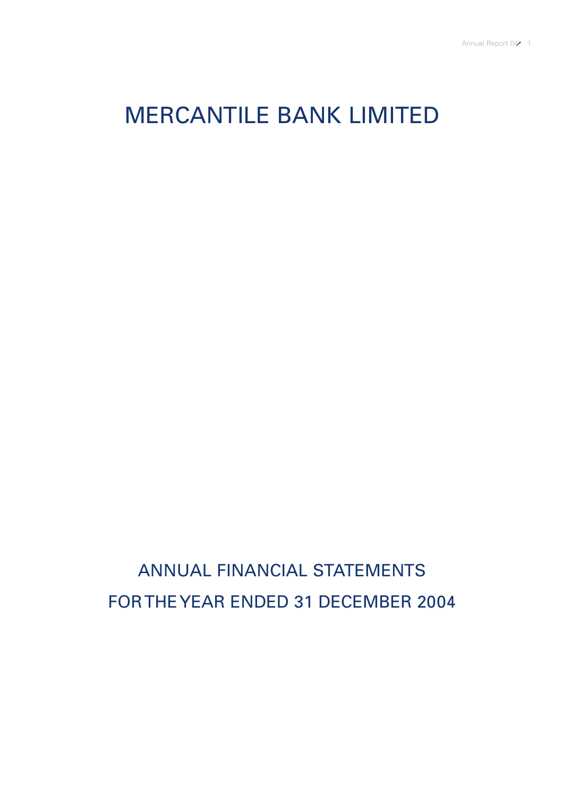# MERCANTILE BANK LIMITED

ANNUAL FINANCIAL STATEMENTS FOR THE YEAR ENDED 31 DECEMBER 2004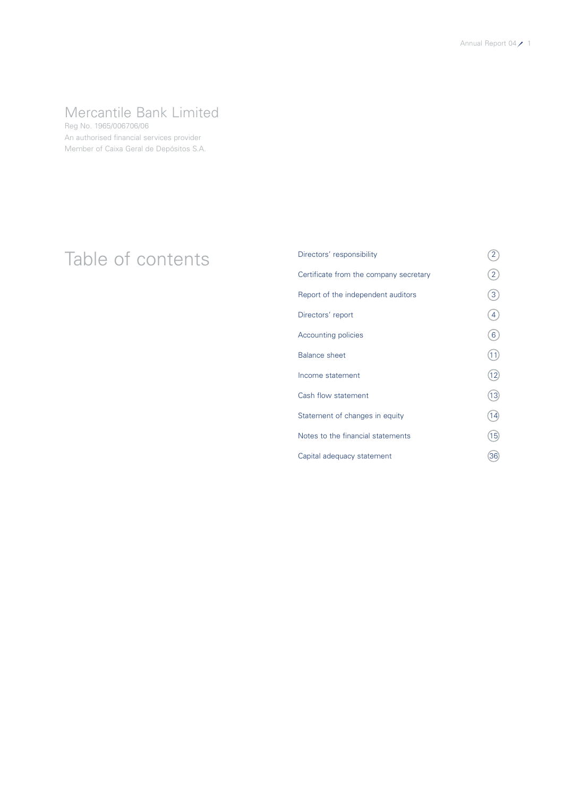## Mercantile Bank Limited

Reg No. 1965/006706/06 An authorised financial services provider Member of Caixa Geral de Depósitos S.A.

# Table of contents Directors' responsibility 2

| Directors' responsibility              | 2               |
|----------------------------------------|-----------------|
| Certificate from the company secretary | 2               |
| Report of the independent auditors     | 3               |
| Directors' report                      | 4               |
| Accounting policies                    | 6               |
| <b>Balance sheet</b>                   | $\overline{11}$ |
| Income statement                       | 12              |
| Cash flow statement                    | 13              |
| Statement of changes in equity         | (14)            |
| Notes to the financial statements      | 15              |
| Capital adequacy statement             | 36              |
|                                        |                 |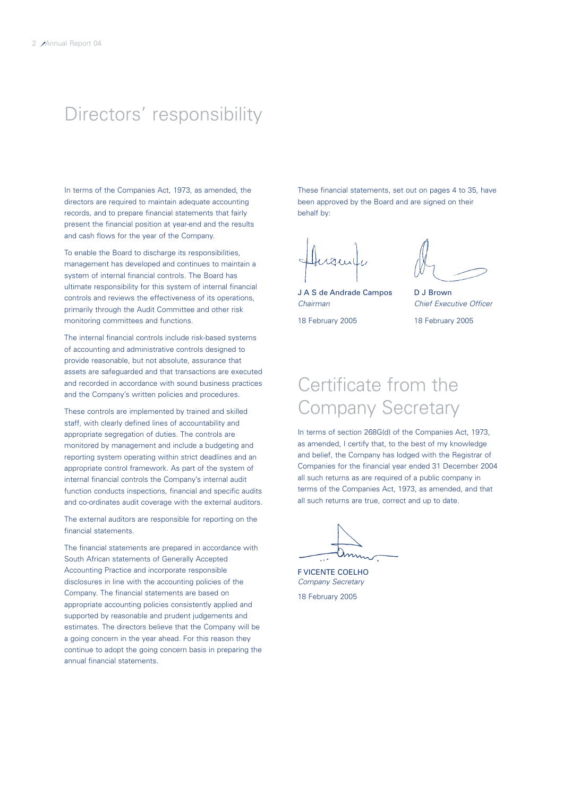## Directors' responsibility

In terms of the Companies Act, 1973, as amended, the directors are required to maintain adequate accounting records, and to prepare financial statements that fairly present the financial position at year-end and the results and cash flows for the year of the Company.

To enable the Board to discharge its responsibilities, management has developed and continues to maintain a system of internal financial controls. The Board has ultimate responsibility for this system of internal financial controls and reviews the effectiveness of its operations, primarily through the Audit Committee and other risk monitoring committees and functions.

The internal financial controls include risk-based systems of accounting and administrative controls designed to provide reasonable, but not absolute, assurance that assets are safeguarded and that transactions are executed and recorded in accordance with sound business practices and the Company's written policies and procedures.

These controls are implemented by trained and skilled staff, with clearly defined lines of accountability and appropriate segregation of duties. The controls are monitored by management and include a budgeting and reporting system operating within strict deadlines and an appropriate control framework. As part of the system of internal financial controls the Company's internal audit function conducts inspections, financial and specific audits and co-ordinates audit coverage with the external auditors.

The external auditors are responsible for reporting on the financial statements.

The financial statements are prepared in accordance with South African statements of Generally Accepted Accounting Practice and incorporate responsible disclosures in line with the accounting policies of the Company. The financial statements are based on appropriate accounting policies consistently applied and supported by reasonable and prudent judgements and estimates. The directors believe that the Company will be a going concern in the year ahead. For this reason they continue to adopt the going concern basis in preparing the annual financial statements.

These financial statements, set out on pages 4 to 35, have been approved by the Board and are signed on their behalf by:

J A S de Andrade Campos D J Brown *Chairman Chief Executive Officer*

18 February 2005 18 February 2005

## Certificate from the Company Secretary

In terms of section 268G(d) of the Companies Act, 1973, as amended, I certify that, to the best of my knowledge and belief, the Company has lodged with the Registrar of Companies for the financial year ended 31 December 2004 all such returns as are required of a public company in terms of the Companies Act, 1973, as amended, and that all such returns are true, correct and up to date.

F VICENTE COELHO *Company Secretary* 18 February 2005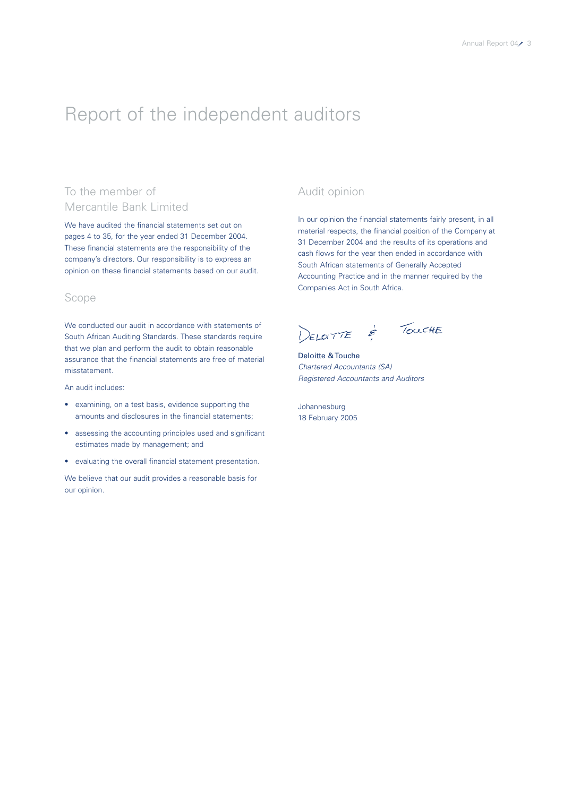## Report of the independent auditors

## To the member of Mercantile Bank Limited

We have audited the financial statements set out on pages 4 to 35, for the year ended 31 December 2004. These financial statements are the responsibility of the company's directors. Our responsibility is to express an opinion on these financial statements based on our audit.

## Scope

We conducted our audit in accordance with statements of South African Auditing Standards. These standards require that we plan and perform the audit to obtain reasonable assurance that the financial statements are free of material misstatement.

An audit includes:

- examining, on a test basis, evidence supporting the amounts and disclosures in the financial statements;
- assessing the accounting principles used and significant estimates made by management; and
- evaluating the overall financial statement presentation.

We believe that our audit provides a reasonable basis for our opinion.

## Audit opinion

In our opinion the financial statements fairly present, in all material respects, the financial position of the Company at 31 December 2004 and the results of its operations and cash flows for the year then ended in accordance with South African statements of Generally Accepted Accounting Practice and in the manner required by the Companies Act in South Africa.

DELOTTE & TOUCHE

Deloitte & Touche *Chartered Accountants (SA) Registered Accountants and Auditors*

Johannesburg 18 February 2005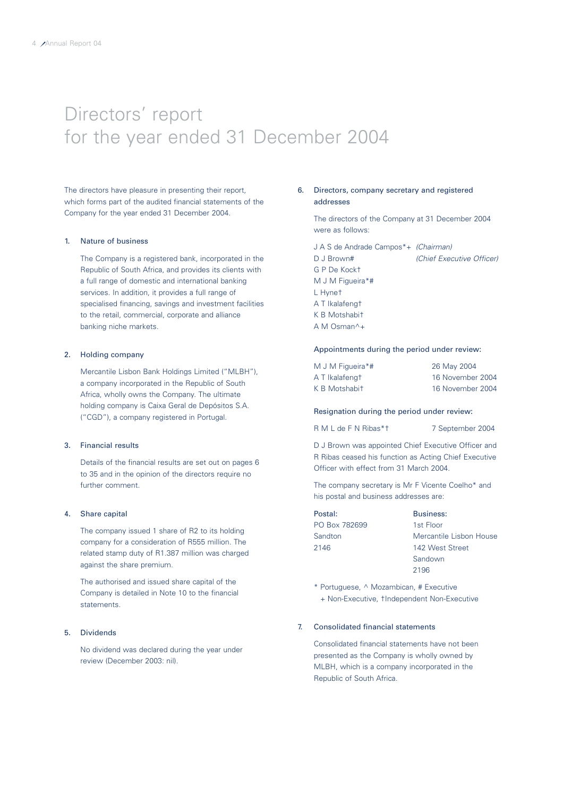## Directors' report for the year ended 31 December 2004

The directors have pleasure in presenting their report, which forms part of the audited financial statements of the Company for the year ended 31 December 2004.

#### 1. Nature of business

The Company is a registered bank, incorporated in the Republic of South Africa, and provides its clients with a full range of domestic and international banking services. In addition, it provides a full range of specialised financing, savings and investment facilities to the retail, commercial, corporate and alliance banking niche markets.

### 2. Holding company

Mercantile Lisbon Bank Holdings Limited ("MLBH"), a company incorporated in the Republic of South Africa, wholly owns the Company. The ultimate holding company is Caixa Geral de Depósitos S.A. ("CGD"), a company registered in Portugal.

#### 3. Financial results

Details of the financial results are set out on pages 6 to 35 and in the opinion of the directors require no further comment.

## 4. Share capital

The company issued 1 share of R2 to its holding company for a consideration of R555 million. The related stamp duty of R1.387 million was charged against the share premium.

The authorised and issued share capital of the Company is detailed in Note 10 to the financial statements.

## 5. Dividends

No dividend was declared during the year under review (December 2003: nil).

## 6. Directors, company secretary and registered addresses

The directors of the Company at 31 December 2004 were as follows:

| J A S de Andrade Campos*+ (Chairman) |
|--------------------------------------|
| (Chief Executive Officer)            |
|                                      |
|                                      |
|                                      |
|                                      |
|                                      |
|                                      |
|                                      |

### Appointments during the period under review:

| M J M Figueira*# | 26 May 2004      |
|------------------|------------------|
| A T Ikalafengt   | 16 November 2004 |
| K B Motshabit    | 16 November 2004 |

## Resignation during the period under review:

R M L de F N Ribas\*t 7 September 2004

D J Brown was appointed Chief Executive Officer and R Ribas ceased his function as Acting Chief Executive Officer with effect from 31 March 2004.

The company secretary is Mr F Vicente Coelho\* and his postal and business addresses are:

| Postal:       | <b>Business:</b>        |
|---------------|-------------------------|
| PO Box 782699 | 1st Floor               |
| Sandton       | Mercantile Lisbon House |
| 2146          | 142 West Street         |
|               | Sandown                 |
|               | 2196                    |

\* Portuguese, ^ Mozambican, # Executive

+ Non-Executive, †Independent Non-Executive

## 7. Consolidated financial statements

Consolidated financial statements have not been presented as the Company is wholly owned by MLBH, which is a company incorporated in the Republic of South Africa.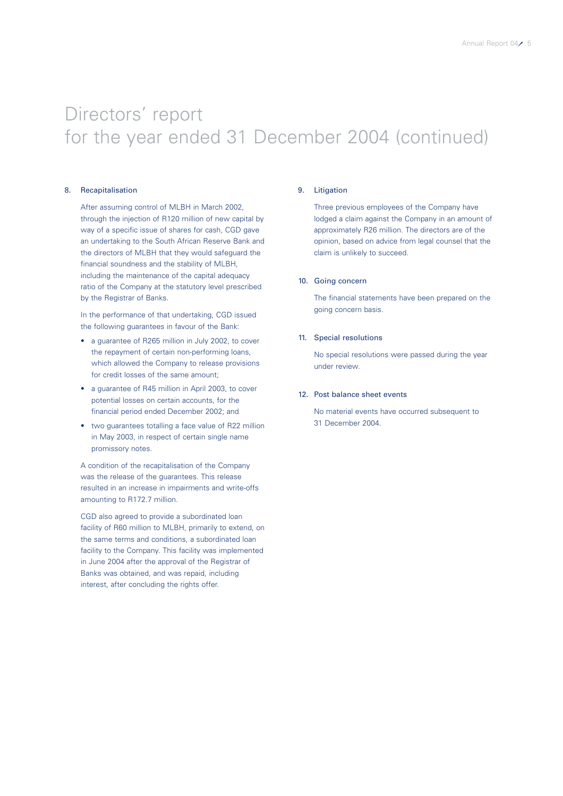## Directors' report for the year ended 31 December 2004 (continued)

### 8. Recapitalisation

After assuming control of MLBH in March 2002, through the injection of R120 million of new capital by way of a specific issue of shares for cash, CGD gave an undertaking to the South African Reserve Bank and the directors of MLBH that they would safeguard the financial soundness and the stability of MLBH, including the maintenance of the capital adequacy ratio of the Company at the statutory level prescribed by the Registrar of Banks.

In the performance of that undertaking, CGD issued the following guarantees in favour of the Bank:

- a guarantee of R265 million in July 2002, to cover the repayment of certain non-performing loans, which allowed the Company to release provisions for credit losses of the same amount;
- a guarantee of R45 million in April 2003, to cover potential losses on certain accounts, for the financial period ended December 2002; and
- two guarantees totalling a face value of R22 million in May 2003, in respect of certain single name promissory notes.

A condition of the recapitalisation of the Company was the release of the guarantees. This release resulted in an increase in impairments and write-offs amounting to R172.7 million.

CGD also agreed to provide a subordinated loan facility of R60 million to MLBH, primarily to extend, on the same terms and conditions, a subordinated loan facility to the Company. This facility was implemented in June 2004 after the approval of the Registrar of Banks was obtained, and was repaid, including interest, after concluding the rights offer.

## 9. Litigation

Three previous employees of the Company have lodged a claim against the Company in an amount of approximately R26 million. The directors are of the opinion, based on advice from legal counsel that the claim is unlikely to succeed.

### 10. Going concern

The financial statements have been prepared on the going concern basis.

## 11. Special resolutions

No special resolutions were passed during the year under review.

## 12. Post balance sheet events

No material events have occurred subsequent to 31 December 2004.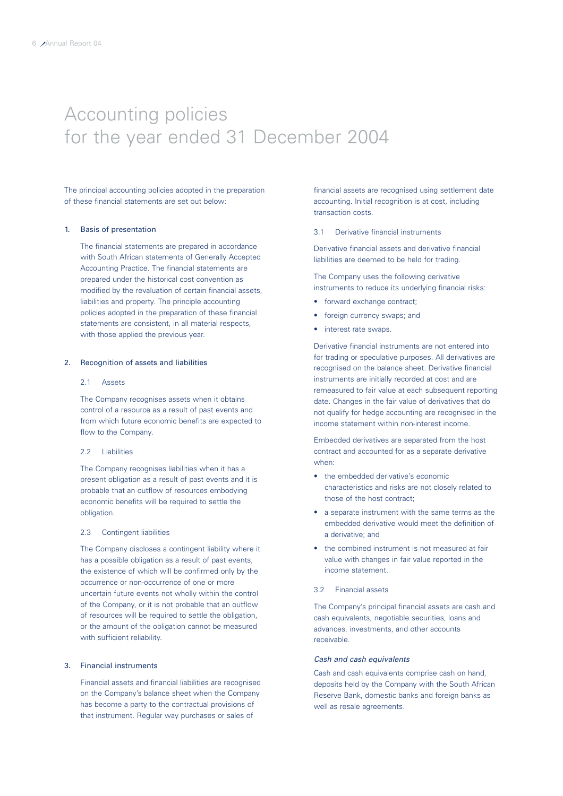## Accounting policies for the year ended 31 December 2004

The principal accounting policies adopted in the preparation of these financial statements are set out below:

#### 1. Basis of presentation

The financial statements are prepared in accordance with South African statements of Generally Accepted Accounting Practice. The financial statements are prepared under the historical cost convention as modified by the revaluation of certain financial assets, liabilities and property. The principle accounting policies adopted in the preparation of these financial statements are consistent, in all material respects, with those applied the previous year.

#### 2. Recognition of assets and liabilities

#### 2.1 Assets

The Company recognises assets when it obtains control of a resource as a result of past events and from which future economic benefits are expected to flow to the Company.

#### 2.2 Liabilities

The Company recognises liabilities when it has a present obligation as a result of past events and it is probable that an outflow of resources embodying economic benefits will be required to settle the obligation.

### 2.3 Contingent liabilities

The Company discloses a contingent liability where it has a possible obligation as a result of past events, the existence of which will be confirmed only by the occurrence or non-occurrence of one or more uncertain future events not wholly within the control of the Company, or it is not probable that an outflow of resources will be required to settle the obligation, or the amount of the obligation cannot be measured with sufficient reliability.

### 3. Financial instruments

Financial assets and financial liabilities are recognised on the Company's balance sheet when the Company has become a party to the contractual provisions of that instrument. Regular way purchases or sales of

financial assets are recognised using settlement date accounting. Initial recognition is at cost, including transaction costs.

3.1 Derivative financial instruments

Derivative financial assets and derivative financial liabilities are deemed to be held for trading.

The Company uses the following derivative instruments to reduce its underlying financial risks:

- forward exchange contract;
- foreign currency swaps; and
- interest rate swaps.

Derivative financial instruments are not entered into for trading or speculative purposes. All derivatives are recognised on the balance sheet. Derivative financial instruments are initially recorded at cost and are remeasured to fair value at each subsequent reporting date. Changes in the fair value of derivatives that do not qualify for hedge accounting are recognised in the income statement within non-interest income.

Embedded derivatives are separated from the host contract and accounted for as a separate derivative when:

- the embedded derivative's economic characteristics and risks are not closely related to those of the host contract;
- a separate instrument with the same terms as the embedded derivative would meet the definition of a derivative; and
- the combined instrument is not measured at fair value with changes in fair value reported in the income statement.

## 3.2 Financial assets

The Company's principal financial assets are cash and cash equivalents, negotiable securities, loans and advances, investments, and other accounts receivable.

## *Cash and cash equivalents*

Cash and cash equivalents comprise cash on hand, deposits held by the Company with the South African Reserve Bank, domestic banks and foreign banks as well as resale agreements.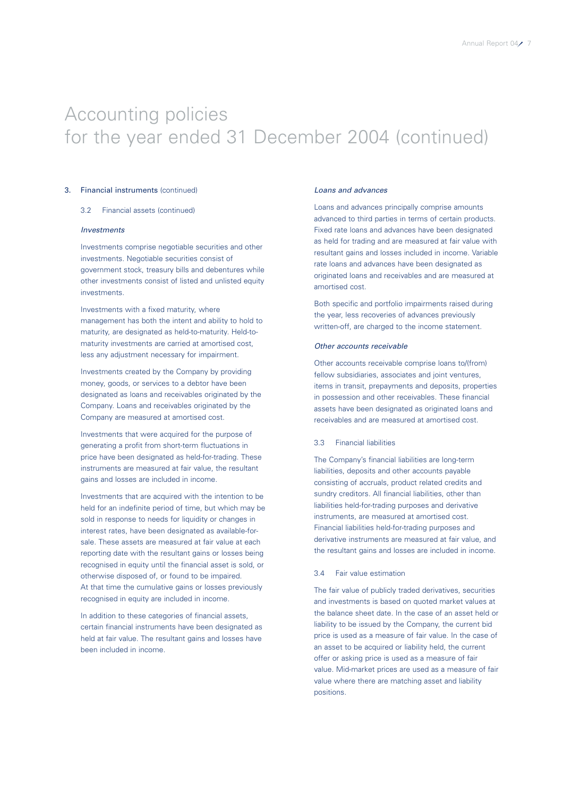## 3. Financial instruments (continued)

#### 3.2 Financial assets (continued)

#### *Investments*

Investments comprise negotiable securities and other investments. Negotiable securities consist of government stock, treasury bills and debentures while other investments consist of listed and unlisted equity investments.

Investments with a fixed maturity, where management has both the intent and ability to hold to maturity, are designated as held-to-maturity. Held-tomaturity investments are carried at amortised cost, less any adjustment necessary for impairment.

Investments created by the Company by providing money, goods, or services to a debtor have been designated as loans and receivables originated by the Company. Loans and receivables originated by the Company are measured at amortised cost.

Investments that were acquired for the purpose of generating a profit from short-term fluctuations in price have been designated as held-for-trading. These instruments are measured at fair value, the resultant gains and losses are included in income.

Investments that are acquired with the intention to be held for an indefinite period of time, but which may be sold in response to needs for liquidity or changes in interest rates, have been designated as available-forsale. These assets are measured at fair value at each reporting date with the resultant gains or losses being recognised in equity until the financial asset is sold, or otherwise disposed of, or found to be impaired. At that time the cumulative gains or losses previously recognised in equity are included in income.

In addition to these categories of financial assets, certain financial instruments have been designated as held at fair value. The resultant gains and losses have been included in income.

### *Loans and advances*

Loans and advances principally comprise amounts advanced to third parties in terms of certain products. Fixed rate loans and advances have been designated as held for trading and are measured at fair value with resultant gains and losses included in income. Variable rate loans and advances have been designated as originated loans and receivables and are measured at amortised cost.

Both specific and portfolio impairments raised during the year, less recoveries of advances previously written-off, are charged to the income statement.

## *Other accounts receivable*

Other accounts receivable comprise loans to/(from) fellow subsidiaries, associates and joint ventures, items in transit, prepayments and deposits, properties in possession and other receivables. These financial assets have been designated as originated loans and receivables and are measured at amortised cost.

## 3.3 Financial liabilities

The Company's financial liabilities are long-term liabilities, deposits and other accounts payable consisting of accruals, product related credits and sundry creditors. All financial liabilities, other than liabilities held-for-trading purposes and derivative instruments, are measured at amortised cost. Financial liabilities held-for-trading purposes and derivative instruments are measured at fair value, and the resultant gains and losses are included in income.

## 3.4 Fair value estimation

The fair value of publicly traded derivatives, securities and investments is based on quoted market values at the balance sheet date. In the case of an asset held or liability to be issued by the Company, the current bid price is used as a measure of fair value. In the case of an asset to be acquired or liability held, the current offer or asking price is used as a measure of fair value. Mid-market prices are used as a measure of fair value where there are matching asset and liability positions.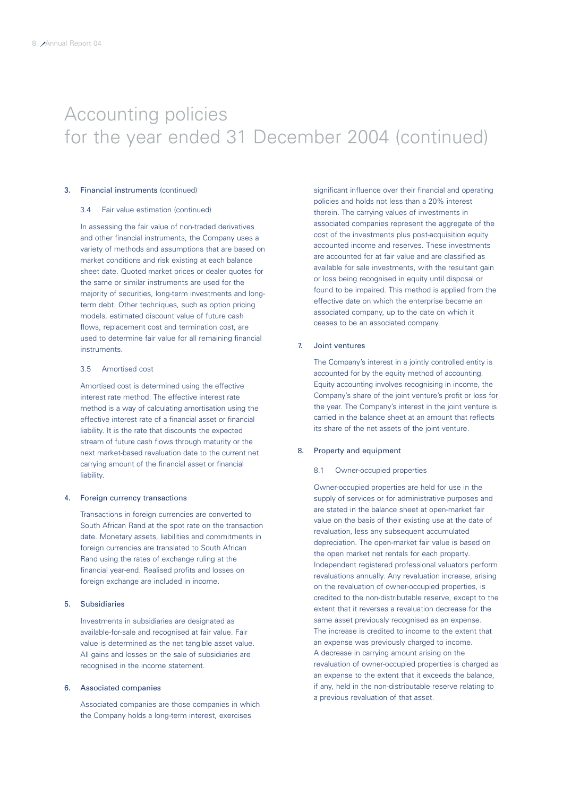## 3. Financial instruments (continued)

#### 3.4 Fair value estimation (continued)

In assessing the fair value of non-traded derivatives and other financial instruments, the Company uses a variety of methods and assumptions that are based on market conditions and risk existing at each balance sheet date. Quoted market prices or dealer quotes for the same or similar instruments are used for the majority of securities, long-term investments and longterm debt. Other techniques, such as option pricing models, estimated discount value of future cash flows, replacement cost and termination cost, are used to determine fair value for all remaining financial instruments.

## 3.5 Amortised cost

Amortised cost is determined using the effective interest rate method. The effective interest rate method is a way of calculating amortisation using the effective interest rate of a financial asset or financial liability. It is the rate that discounts the expected stream of future cash flows through maturity or the next market-based revaluation date to the current net carrying amount of the financial asset or financial liability.

### 4. Foreign currency transactions

Transactions in foreign currencies are converted to South African Rand at the spot rate on the transaction date. Monetary assets, liabilities and commitments in foreign currencies are translated to South African Rand using the rates of exchange ruling at the financial year-end. Realised profits and losses on foreign exchange are included in income.

## 5. Subsidiaries

Investments in subsidiaries are designated as available-for-sale and recognised at fair value. Fair value is determined as the net tangible asset value. All gains and losses on the sale of subsidiaries are recognised in the income statement.

## 6. Associated companies

Associated companies are those companies in which the Company holds a long-term interest, exercises

significant influence over their financial and operating policies and holds not less than a 20% interest therein. The carrying values of investments in associated companies represent the aggregate of the cost of the investments plus post-acquisition equity accounted income and reserves. These investments are accounted for at fair value and are classified as available for sale investments, with the resultant gain or loss being recognised in equity until disposal or found to be impaired. This method is applied from the effective date on which the enterprise became an associated company, up to the date on which it ceases to be an associated company.

## 7. Joint ventures

The Company's interest in a jointly controlled entity is accounted for by the equity method of accounting. Equity accounting involves recognising in income, the Company's share of the joint venture's profit or loss for the year. The Company's interest in the joint venture is carried in the balance sheet at an amount that reflects its share of the net assets of the joint venture.

## 8. Property and equipment

## 8.1 Owner-occupied properties

Owner-occupied properties are held for use in the supply of services or for administrative purposes and are stated in the balance sheet at open-market fair value on the basis of their existing use at the date of revaluation, less any subsequent accumulated depreciation. The open-market fair value is based on the open market net rentals for each property. Independent registered professional valuators perform revaluations annually. Any revaluation increase, arising on the revaluation of owner-occupied properties, is credited to the non-distributable reserve, except to the extent that it reverses a revaluation decrease for the same asset previously recognised as an expense. The increase is credited to income to the extent that an expense was previously charged to income. A decrease in carrying amount arising on the revaluation of owner-occupied properties is charged as an expense to the extent that it exceeds the balance, if any, held in the non-distributable reserve relating to a previous revaluation of that asset.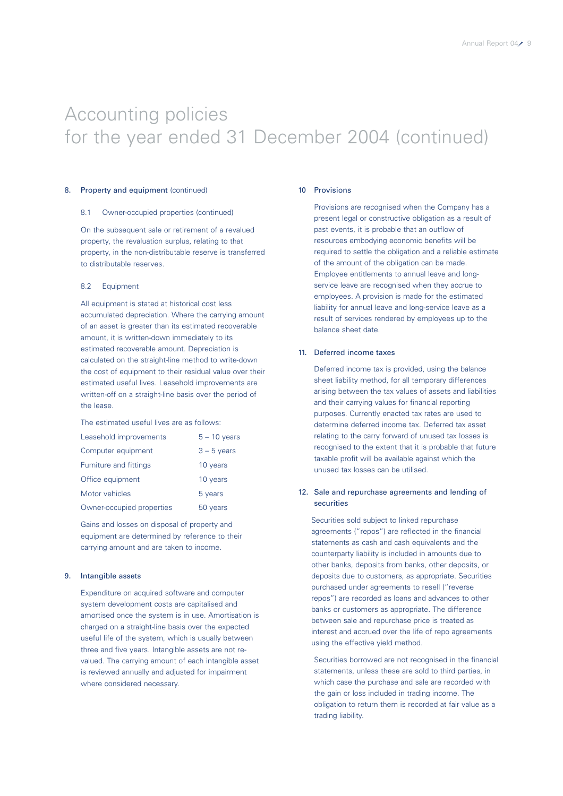## 8. Property and equipment (continued)

#### 8.1 Owner-occupied properties (continued)

On the subsequent sale or retirement of a revalued property, the revaluation surplus, relating to that property, in the non-distributable reserve is transferred to distributable reserves.

### 8.2 Equipment

All equipment is stated at historical cost less accumulated depreciation. Where the carrying amount of an asset is greater than its estimated recoverable amount, it is written-down immediately to its estimated recoverable amount. Depreciation is calculated on the straight-line method to write-down the cost of equipment to their residual value over their estimated useful lives. Leasehold improvements are written-off on a straight-line basis over the period of the lease.

The estimated useful lives are as follows:

| Leasehold improvements        | $5 - 10$ years |
|-------------------------------|----------------|
| Computer equipment            | $3 - 5$ years  |
| <b>Furniture and fittings</b> | 10 years       |
| Office equipment              | 10 years       |
| Motor vehicles                | 5 years        |
| Owner-occupied properties     | 50 years       |

Gains and losses on disposal of property and equipment are determined by reference to their carrying amount and are taken to income.

### 9. Intangible assets

Expenditure on acquired software and computer system development costs are capitalised and amortised once the system is in use. Amortisation is charged on a straight-line basis over the expected useful life of the system, which is usually between three and five years. Intangible assets are not revalued. The carrying amount of each intangible asset is reviewed annually and adjusted for impairment where considered necessary.

#### 10 Provisions

Provisions are recognised when the Company has a present legal or constructive obligation as a result of past events, it is probable that an outflow of resources embodying economic benefits will be required to settle the obligation and a reliable estimate of the amount of the obligation can be made. Employee entitlements to annual leave and longservice leave are recognised when they accrue to employees. A provision is made for the estimated liability for annual leave and long-service leave as a result of services rendered by employees up to the balance sheet date.

### 11. Deferred income taxes

Deferred income tax is provided, using the balance sheet liability method, for all temporary differences arising between the tax values of assets and liabilities and their carrying values for financial reporting purposes. Currently enacted tax rates are used to determine deferred income tax. Deferred tax asset relating to the carry forward of unused tax losses is recognised to the extent that it is probable that future taxable profit will be available against which the unused tax losses can be utilised.

## 12. Sale and repurchase agreements and lending of securities

Securities sold subject to linked repurchase agreements ("repos") are reflected in the financial statements as cash and cash equivalents and the counterparty liability is included in amounts due to other banks, deposits from banks, other deposits, or deposits due to customers, as appropriate. Securities purchased under agreements to resell ("reverse repos") are recorded as loans and advances to other banks or customers as appropriate. The difference between sale and repurchase price is treated as interest and accrued over the life of repo agreements using the effective yield method.

Securities borrowed are not recognised in the financial statements, unless these are sold to third parties, in which case the purchase and sale are recorded with the gain or loss included in trading income. The obligation to return them is recorded at fair value as a trading liability.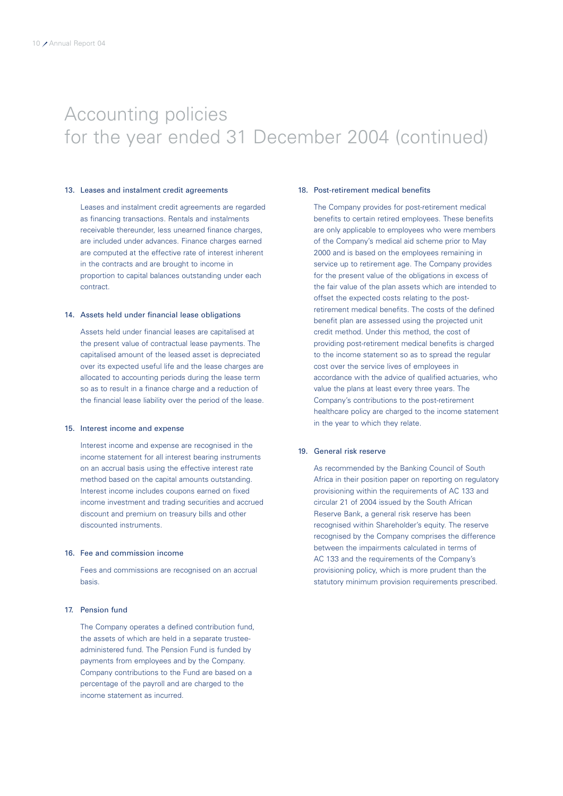### 13. Leases and instalment credit agreements

Leases and instalment credit agreements are regarded as financing transactions. Rentals and instalments receivable thereunder, less unearned finance charges, are included under advances. Finance charges earned are computed at the effective rate of interest inherent in the contracts and are brought to income in proportion to capital balances outstanding under each contract.

### 14. Assets held under financial lease obligations

Assets held under financial leases are capitalised at the present value of contractual lease payments. The capitalised amount of the leased asset is depreciated over its expected useful life and the lease charges are allocated to accounting periods during the lease term so as to result in a finance charge and a reduction of the financial lease liability over the period of the lease.

### 15. Interest income and expense

Interest income and expense are recognised in the income statement for all interest bearing instruments on an accrual basis using the effective interest rate method based on the capital amounts outstanding. Interest income includes coupons earned on fixed income investment and trading securities and accrued discount and premium on treasury bills and other discounted instruments.

### 16. Fee and commission income

Fees and commissions are recognised on an accrual basis.

### 17. Pension fund

The Company operates a defined contribution fund, the assets of which are held in a separate trusteeadministered fund. The Pension Fund is funded by payments from employees and by the Company. Company contributions to the Fund are based on a percentage of the payroll and are charged to the income statement as incurred.

#### 18. Post-retirement medical benefits

The Company provides for post-retirement medical benefits to certain retired employees. These benefits are only applicable to employees who were members of the Company's medical aid scheme prior to May 2000 and is based on the employees remaining in service up to retirement age. The Company provides for the present value of the obligations in excess of the fair value of the plan assets which are intended to offset the expected costs relating to the postretirement medical benefits. The costs of the defined benefit plan are assessed using the projected unit credit method. Under this method, the cost of providing post-retirement medical benefits is charged to the income statement so as to spread the regular cost over the service lives of employees in accordance with the advice of qualified actuaries, who value the plans at least every three years. The Company's contributions to the post-retirement healthcare policy are charged to the income statement in the year to which they relate.

## 19. General risk reserve

As recommended by the Banking Council of South Africa in their position paper on reporting on regulatory provisioning within the requirements of AC 133 and circular 21 of 2004 issued by the South African Reserve Bank, a general risk reserve has been recognised within Shareholder's equity. The reserve recognised by the Company comprises the difference between the impairments calculated in terms of AC 133 and the requirements of the Company's provisioning policy, which is more prudent than the statutory minimum provision requirements prescribed.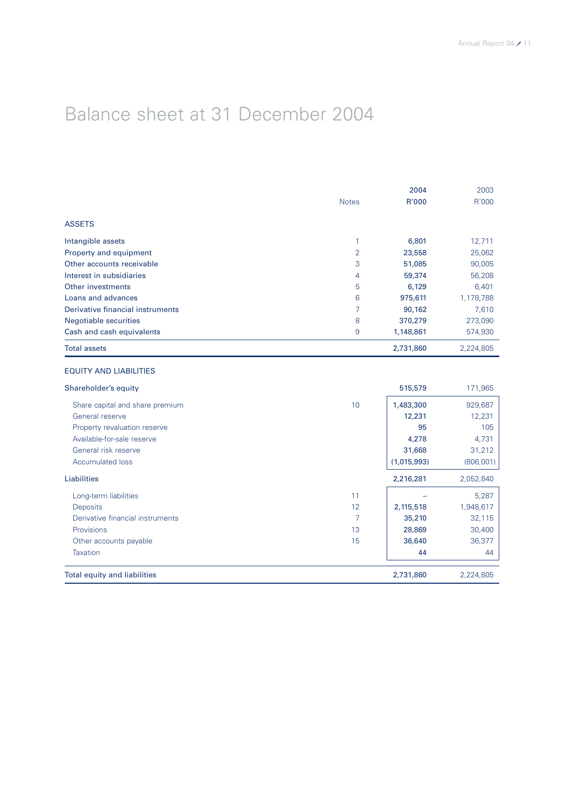## Balance sheet at 31 December 2004

|                                  |                | 2004      | 2003      |
|----------------------------------|----------------|-----------|-----------|
|                                  | <b>Notes</b>   | R'000     | R'000     |
| <b>ASSETS</b>                    |                |           |           |
| Intangible assets                | 1              | 6,801     | 12,711    |
| Property and equipment           | $\overline{2}$ | 23,558    | 25,062    |
| Other accounts receivable        | 3              | 51,085    | 90,005    |
| Interest in subsidiaries         | 4              | 59,374    | 56,208    |
| Other investments                | 5              | 6,129     | 6,401     |
| Loans and advances               | 6              | 975,611   | 1,178,788 |
| Derivative financial instruments | 7              | 90,162    | 7,610     |
| <b>Negotiable securities</b>     | 8              | 370,279   | 273,090   |
| Cash and cash equivalents        | 9              | 1,148,861 | 574,930   |
| <b>Total assets</b>              |                | 2,731,860 | 2,224,805 |

## EQUITY AND LIABILITIES

| Shareholder's equity                |    | 515,579     | 171,965    |
|-------------------------------------|----|-------------|------------|
| Share capital and share premium     | 10 | 1,483,300   | 929,687    |
| General reserve                     |    | 12,231      | 12,231     |
| Property revaluation reserve        |    | 95          | 105        |
| Available-for-sale reserve          |    | 4,278       | 4,731      |
| General risk reserve                |    | 31,668      | 31,212     |
| <b>Accumulated loss</b>             |    | (1,015,993) | (806, 001) |
| Liabilities                         |    | 2,216,281   | 2,052,840  |
| Long-term liabilities               | 11 |             | 5,287      |
| <b>Deposits</b>                     | 12 | 2,115,518   | 1,948,617  |
| Derivative financial instruments    | 7  | 35,210      | 32,115     |
| <b>Provisions</b>                   | 13 | 28,869      | 30,400     |
| Other accounts payable              | 15 | 36,640      | 36,377     |
| <b>Taxation</b>                     |    | 44          | 44         |
| <b>Total equity and liabilities</b> |    | 2,731,860   | 2,224,805  |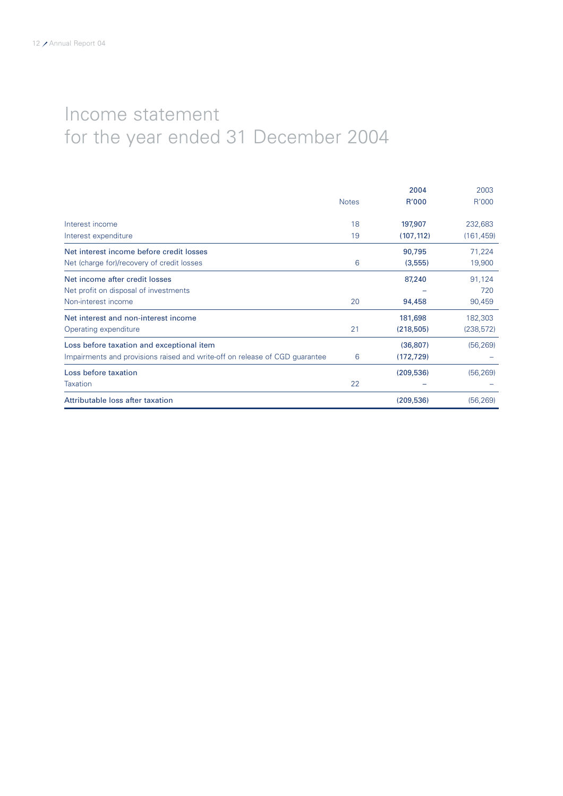## Income statement for the year ended 31 December 2004

|                                                                             |              | 2004       | 2003       |
|-----------------------------------------------------------------------------|--------------|------------|------------|
|                                                                             | <b>Notes</b> | R'000      | R'000      |
| Interest income                                                             | 18           | 197,907    | 232,683    |
| Interest expenditure                                                        | 19           | (107, 112) | (161, 459) |
| Net interest income before credit losses                                    |              | 90,795     | 71,224     |
| Net (charge for)/recovery of credit losses                                  | 6            | (3,555)    | 19,900     |
| Net income after credit losses                                              |              | 87,240     | 91,124     |
| Net profit on disposal of investments                                       |              |            | 720        |
| Non-interest income                                                         | 20           | 94,458     | 90,459     |
| Net interest and non-interest income                                        |              | 181,698    | 182,303    |
| Operating expenditure                                                       | 21           | (218, 505) | (238, 572) |
| Loss before taxation and exceptional item                                   |              | (36, 807)  | (56, 269)  |
| Impairments and provisions raised and write-off on release of CGD guarantee | 6            | (172, 729) |            |
| Loss before taxation                                                        |              | (209, 536) | (56, 269)  |
| Taxation                                                                    | 22           |            |            |
| Attributable loss after taxation                                            |              | (209, 536) | (56, 269)  |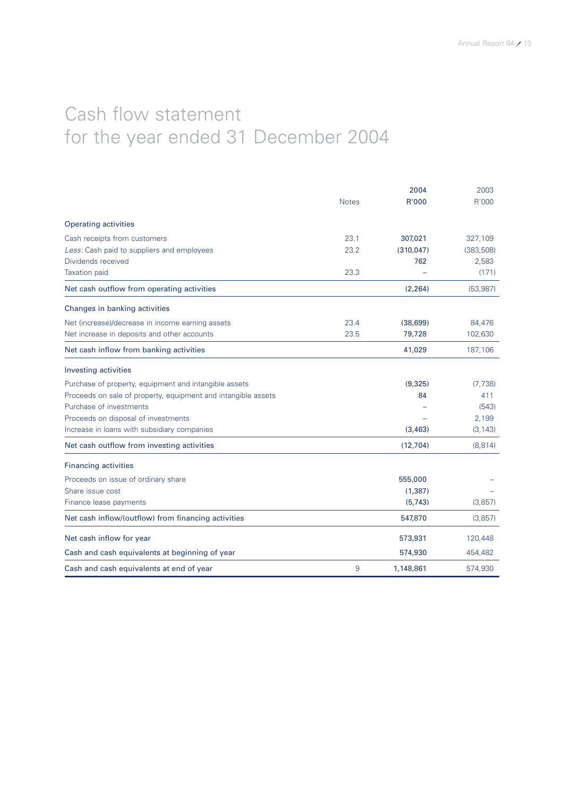## Cash flow statement for the year ended 31 December 2004

|                                                               |              | 2004       | 2003      |
|---------------------------------------------------------------|--------------|------------|-----------|
|                                                               | <b>Notes</b> | R'000      | R'000     |
| <b>Operating activities</b>                                   |              |            |           |
| Cash receipts from customers                                  | 23.1         | 307,021    | 327,109   |
| Less: Cash paid to suppliers and employees                    | 23.2         | (310, 047) | (383,508) |
| Dividends received                                            |              | 762        | 2,583     |
| <b>Taxation</b> paid                                          | 23.3         |            | (171)     |
| Net cash outflow from operating activities                    |              | (2, 264)   | (53, 987) |
| Changes in banking activities                                 |              |            |           |
| Net (increase)/decrease in income earning assets              | 23.4         | (38, 699)  | 84,476    |
| Net increase in deposits and other accounts                   | 23.5         | 79,728     | 102,630   |
| Net cash inflow from banking activities                       |              | 41,029     | 187,106   |
| <b>Investing activities</b>                                   |              |            |           |
| Purchase of property, equipment and intangible assets         |              | (9,325)    | (7, 738)  |
| Proceeds on sale of property, equipment and intangible assets |              | 84         | 411       |
| Purchase of investments                                       |              |            | (543)     |
| Proceeds on disposal of investments                           |              |            | 2,199     |
| Increase in loans with subsidiary companies                   |              | (3, 463)   | (3, 143)  |
| Net cash outflow from investing activities                    |              | (12,704)   | (8,814)   |
| <b>Financing activities</b>                                   |              |            |           |
| Proceeds on issue of ordinary share                           |              | 555,000    |           |
| Share issue cost                                              |              | (1, 387)   |           |
| Finance lease payments                                        |              | (5,743)    | (3,857)   |
| Net cash inflow/(outflow) from financing activities           |              | 547,870    | (3,857)   |
| Net cash inflow for year                                      |              | 573,931    | 120,448   |
| Cash and cash equivalents at beginning of year                |              | 574,930    | 454,482   |
| Cash and cash equivalents at end of year                      | 9            | 1,148,861  | 574,930   |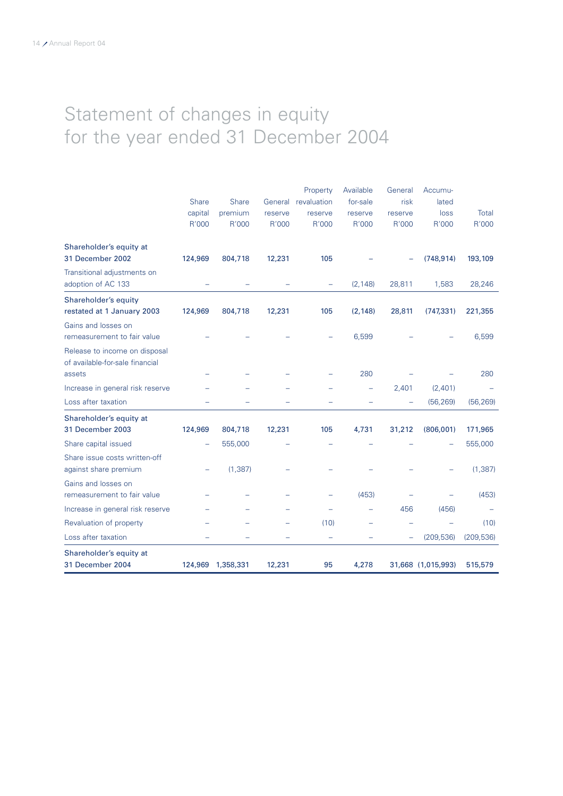## Statement of changes in equity for the year ended 31 December 2004

|                                                                            | <b>Share</b><br>capital<br>R'000 | <b>Share</b><br>premium<br>R'000 | General<br>reserve<br>R'000 | Property<br>revaluation<br>reserve<br>R'000 | Available<br>for-sale<br>reserve<br>R'000 | General<br>risk<br>reserve<br>R'000 | Accumu-<br>lated<br>loss<br>R'000 | Total<br>R'000 |
|----------------------------------------------------------------------------|----------------------------------|----------------------------------|-----------------------------|---------------------------------------------|-------------------------------------------|-------------------------------------|-----------------------------------|----------------|
| Shareholder's equity at<br>31 December 2002                                | 124,969                          | 804,718                          | 12,231                      | 105                                         |                                           |                                     | (748, 914)                        | 193,109        |
| Transitional adjustments on<br>adoption of AC 133                          |                                  |                                  |                             | -                                           | (2, 148)                                  | 28,811                              | 1,583                             | 28,246         |
| Shareholder's equity<br>restated at 1 January 2003                         | 124,969                          | 804,718                          | 12,231                      | 105                                         | (2, 148)                                  | 28,811                              | (747, 331)                        | 221,355        |
| Gains and losses on<br>remeasurement to fair value                         |                                  |                                  |                             |                                             | 6,599                                     |                                     |                                   | 6,599          |
| Release to income on disposal<br>of available-for-sale financial<br>assets |                                  |                                  |                             |                                             | 280                                       |                                     |                                   | 280            |
| Increase in general risk reserve                                           |                                  |                                  |                             |                                             |                                           | 2,401                               | (2,401)                           |                |
| Loss after taxation                                                        |                                  |                                  |                             |                                             |                                           |                                     | (56, 269)                         | (56, 269)      |
| Shareholder's equity at<br>31 December 2003                                | 124,969                          | 804,718                          | 12,231                      | 105                                         | 4,731                                     | 31,212                              | (806,001)                         | 171,965        |
| Share capital issued                                                       |                                  | 555,000                          |                             |                                             |                                           |                                     |                                   | 555,000        |
| Share issue costs written-off<br>against share premium                     | -                                | (1, 387)                         |                             |                                             |                                           |                                     |                                   | (1, 387)       |
| Gains and losses on<br>remeasurement to fair value                         |                                  |                                  |                             |                                             | (453)                                     |                                     |                                   | (453)          |
| Increase in general risk reserve                                           |                                  |                                  |                             |                                             |                                           | 456                                 | (456)                             |                |
| Revaluation of property                                                    |                                  |                                  |                             | (10)                                        |                                           |                                     |                                   | (10)           |
| Loss after taxation                                                        |                                  |                                  |                             |                                             |                                           |                                     | (209, 536)                        | (209, 536)     |
| Shareholder's equity at<br>31 December 2004                                |                                  | 124,969 1,358,331                | 12,231                      | 95                                          | 4,278                                     |                                     | 31,668 (1,015,993)                | 515,579        |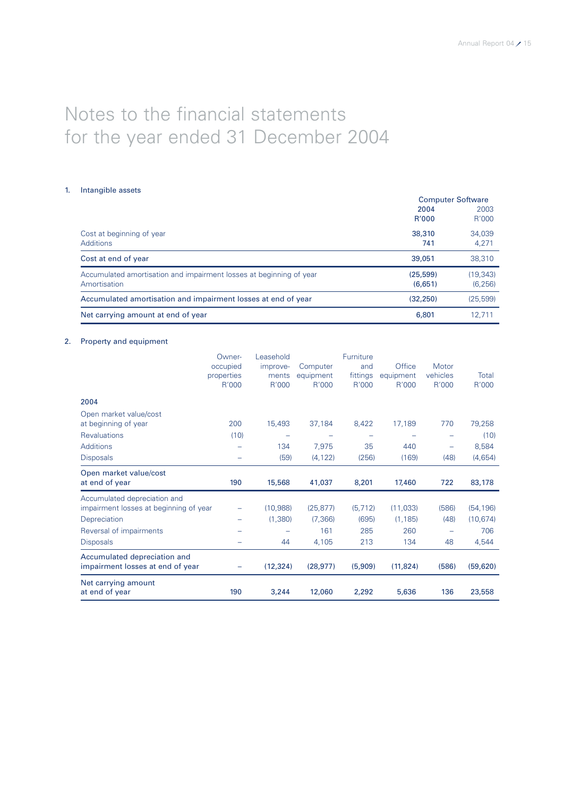## Notes to the financial statements for the year ended 31 December 2004

## 1. Intangible assets

|                                                                                     | <b>Computer Software</b> |                       |  |
|-------------------------------------------------------------------------------------|--------------------------|-----------------------|--|
|                                                                                     | 2004<br>R'000            | 2003<br>R'000         |  |
| Cost at beginning of year<br><b>Additions</b>                                       | 38,310<br>741            | 34,039<br>4,271       |  |
| Cost at end of year                                                                 | 39,051                   | 38,310                |  |
| Accumulated amortisation and impairment losses at beginning of year<br>Amortisation | (25, 599)<br>(6.651)     | (19, 343)<br>(6, 256) |  |
| Accumulated amortisation and impairment losses at end of year                       | (32.250)                 | (25, 599)             |  |
| Net carrying amount at end of year                                                  | 6,801                    | 12.711                |  |

## 2. Property and equipment

|                                                                  | Owner-<br>occupied<br>properties<br>R'000 | Leasehold<br>improve-<br>ments<br>R'000 | Computer<br>equipment<br>R'000 | Furniture<br>and<br>fittings<br>R'000 | Office<br>equipment<br>R'000 | Motor<br>vehicles<br>R'000 | Total<br>R'000 |
|------------------------------------------------------------------|-------------------------------------------|-----------------------------------------|--------------------------------|---------------------------------------|------------------------------|----------------------------|----------------|
| 2004                                                             |                                           |                                         |                                |                                       |                              |                            |                |
| Open market value/cost                                           |                                           |                                         |                                |                                       |                              |                            |                |
| at beginning of year                                             | 200                                       | 15,493                                  | 37,184                         | 8,422                                 | 17,189                       | 770                        | 79,258         |
| <b>Revaluations</b>                                              | (10)                                      |                                         |                                |                                       |                              | $\overline{\phantom{0}}$   | (10)           |
| <b>Additions</b>                                                 |                                           | 134                                     | 7,975                          | 35                                    | 440                          | $\overline{\phantom{0}}$   | 8,584          |
| <b>Disposals</b>                                                 |                                           | (59)                                    | (4, 122)                       | (256)                                 | (169)                        | (48)                       | (4,654)        |
| Open market value/cost<br>at end of year                         | 190                                       | 15,568                                  | 41,037                         | 8,201                                 | 17,460                       | 722                        | 83,178         |
| Accumulated depreciation and                                     |                                           |                                         |                                |                                       |                              |                            |                |
| impairment losses at beginning of year                           |                                           | (10,988)                                | (25, 877)                      | (5, 712)                              | (11, 033)                    | (586)                      | (54, 196)      |
| Depreciation                                                     |                                           | (1,380)                                 | (7, 366)                       | (695)                                 | (1, 185)                     | (48)                       | (10, 674)      |
| Reversal of impairments                                          |                                           |                                         | 161                            | 285                                   | 260                          | -                          | 706            |
| <b>Disposals</b>                                                 |                                           | 44                                      | 4,105                          | 213                                   | 134                          | 48                         | 4,544          |
| Accumulated depreciation and<br>impairment losses at end of year |                                           | (12, 324)                               | (28, 977)                      | (5,909)                               | (11, 824)                    | (586)                      | (59, 620)      |
| Net carrying amount<br>at end of year                            | 190                                       | 3,244                                   | 12,060                         | 2,292                                 | 5,636                        | 136                        | 23,558         |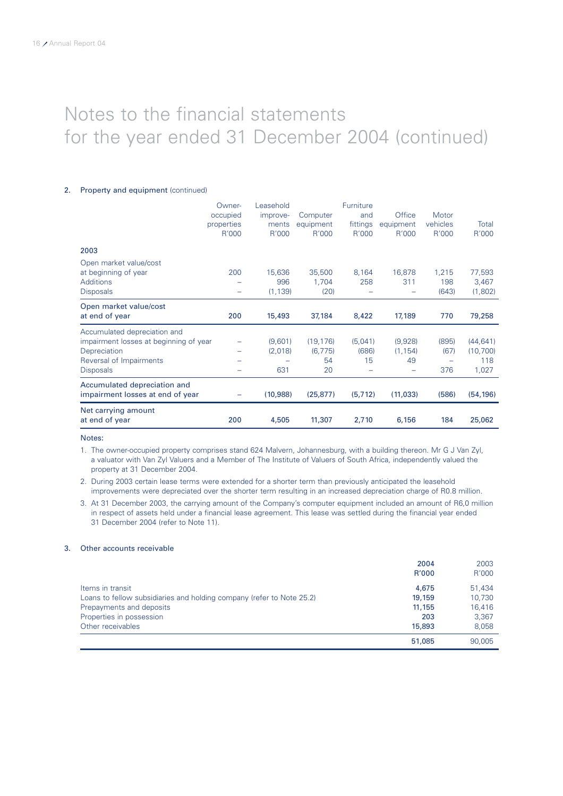## 2. Property and equipment (continued)

|                                        | Owner-     | Leasehold |           | Furniture |           |          |           |
|----------------------------------------|------------|-----------|-----------|-----------|-----------|----------|-----------|
|                                        | occupied   | improve-  | Computer  | and       | Office    | Motor    |           |
|                                        | properties | ments     | equipment | fittings  | equipment | vehicles | Total     |
|                                        | R'000      | R'000     | R'000     | R'000     | R'000     | R'000    | R'000     |
| 2003                                   |            |           |           |           |           |          |           |
| Open market value/cost                 |            |           |           |           |           |          |           |
| at beginning of year                   | 200        | 15,636    | 35,500    | 8,164     | 16,878    | 1,215    | 77,593    |
| <b>Additions</b>                       |            | 996       | 1,704     | 258       | 311       | 198      | 3,467     |
| <b>Disposals</b>                       |            | (1, 139)  | (20)      |           |           | (643)    | (1,802)   |
| Open market value/cost                 |            |           |           |           |           |          |           |
| at end of year                         | 200        | 15,493    | 37,184    | 8,422     | 17,189    | 770      | 79,258    |
| Accumulated depreciation and           |            |           |           |           |           |          |           |
| impairment losses at beginning of year |            | (9,601)   | (19, 176) | (5,041)   | (9,928)   | (895)    | (44, 641) |
| Depreciation                           |            | (2,018)   | (6, 775)  | (686)     | (1, 154)  | (67)     | (10,700)  |
| Reversal of Impairments                |            |           | 54        | 15        | 49        |          | 118       |
| <b>Disposals</b>                       |            | 631       | 20        |           | -         | 376      | 1,027     |
| Accumulated depreciation and           |            |           |           |           |           |          |           |
| impairment losses at end of year       |            | (10,988)  | (25, 877) | (5, 712)  | (11, 033) | (586)    | (54, 196) |
| Net carrying amount                    |            |           |           |           |           |          |           |
| at end of year                         | 200        | 4,505     | 11,307    | 2,710     | 6,156     | 184      | 25,062    |

Notes:

1. The owner-occupied property comprises stand 624 Malvern, Johannesburg, with a building thereon. Mr G J Van Zyl, a valuator with Van Zyl Valuers and a Member of The Institute of Valuers of South Africa, independently valued the property at 31 December 2004.

2. During 2003 certain lease terms were extended for a shorter term than previously anticipated the leasehold improvements were depreciated over the shorter term resulting in an increased depreciation charge of R0.8 million.

3. At 31 December 2003, the carrying amount of the Company's computer equipment included an amount of R6,0 million in respect of assets held under a financial lease agreement. This lease was settled during the financial year ended 31 December 2004 (refer to Note 11).

### 3. Other accounts receivable

|                                                                       | 2004   | 2003   |
|-----------------------------------------------------------------------|--------|--------|
|                                                                       | R'000  | R'000  |
| Items in transit                                                      | 4,675  | 51.434 |
| Loans to fellow subsidiaries and holding company (refer to Note 25.2) | 19,159 | 10,730 |
| Prepayments and deposits                                              | 11,155 | 16,416 |
| Properties in possession                                              | 203    | 3,367  |
| Other receivables                                                     | 15,893 | 8.058  |
|                                                                       | 51,085 | 90,005 |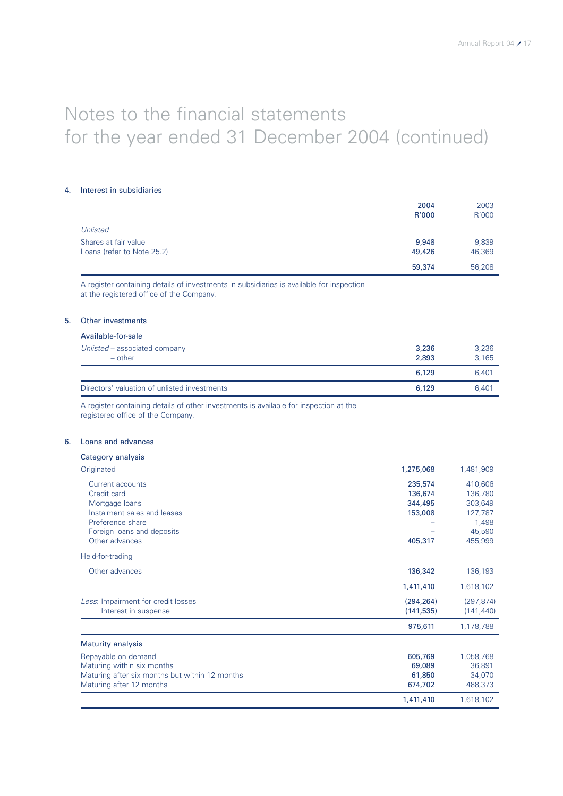### 4. Interest in subsidiaries

|                            | 59,374 | 56,208 |
|----------------------------|--------|--------|
| Loans (refer to Note 25.2) | 49,426 | 46,369 |
| Shares at fair value       | 9,948  | 9,839  |
| Unlisted                   |        |        |
|                            | R'000  | R'000  |
|                            | 2004   | 2003   |

A register containing details of investments in subsidiaries is available for inspection at the registered office of the Company.

## 5. Other investments

## Available-for-sale

| Unlisted – associated company<br>$-$ other   | 3,236<br>2,893 | 3,236<br>3.165 |
|----------------------------------------------|----------------|----------------|
|                                              | 6,129          | 6.401          |
| Directors' valuation of unlisted investments | 6,129          | 6.401          |

A register containing details of other investments is available for inspection at the registered office of the Company.

## 6. Loans and advances Category analysis

| Originated                                                                                                                                           | 1,275,068                                           | 1,481,909                                                              |
|------------------------------------------------------------------------------------------------------------------------------------------------------|-----------------------------------------------------|------------------------------------------------------------------------|
| Current accounts<br>Credit card<br>Mortgage loans<br>Instalment sales and leases<br>Preference share<br>Foreign loans and deposits<br>Other advances | 235,574<br>136,674<br>344,495<br>153,008<br>405,317 | 410,606<br>136,780<br>303,649<br>127,787<br>1,498<br>45,590<br>455,999 |
| Held-for-trading                                                                                                                                     |                                                     |                                                                        |
| Other advances                                                                                                                                       | 136,342                                             | 136,193                                                                |
|                                                                                                                                                      | 1,411,410                                           | 1,618,102                                                              |
| Less: Impairment for credit losses<br>Interest in suspense                                                                                           | (294, 264)<br>(141, 535)                            | (297, 874)<br>(141, 440)                                               |
|                                                                                                                                                      | 975,611                                             | 1,178,788                                                              |
| <b>Maturity analysis</b>                                                                                                                             |                                                     |                                                                        |
| Repayable on demand<br>Maturing within six months<br>Maturing after six months but within 12 months<br>Maturing after 12 months                      | 605,769<br>69,089<br>61,850<br>674,702              | 1,058,768<br>36,891<br>34,070<br>488,373                               |
|                                                                                                                                                      | 1,411,410                                           | 1,618,102                                                              |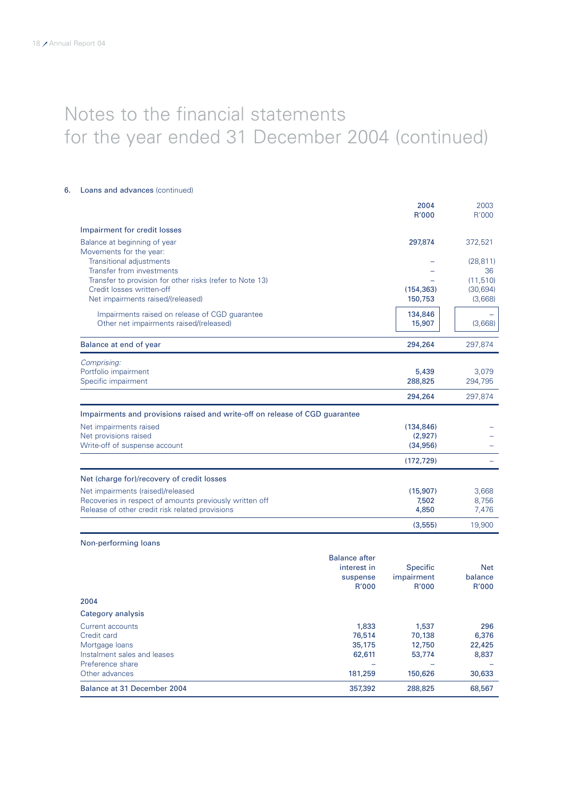## 6. Loans and advances (continued)

|                                                                             | 2004       | 2003      |
|-----------------------------------------------------------------------------|------------|-----------|
|                                                                             | R'000      | R'000     |
| Impairment for credit losses                                                |            |           |
| Balance at beginning of year                                                | 297,874    | 372,521   |
| Movements for the year:                                                     |            |           |
| <b>Transitional adjustments</b>                                             |            | (28, 811) |
| Transfer from investments                                                   |            | 36        |
| Transfer to provision for other risks (refer to Note 13)                    |            | (11, 510) |
| Credit losses written-off                                                   | (154, 363) | (30, 694) |
| Net impairments raised/(released)                                           | 150,753    | (3,668)   |
| Impairments raised on release of CGD guarantee                              | 134,846    |           |
| Other net impairments raised/(released)                                     | 15,907     | (3,668)   |
| Balance at end of year                                                      | 294,264    | 297,874   |
| Comprising:                                                                 |            |           |
| Portfolio impairment                                                        | 5,439      | 3,079     |
| Specific impairment                                                         | 288,825    | 294,795   |
|                                                                             | 294,264    | 297,874   |
| Impairments and provisions raised and write-off on release of CGD guarantee |            |           |
| Net impairments raised                                                      | (134, 846) |           |
| Net provisions raised                                                       | (2,927)    |           |
| Write-off of suspense account                                               | (34,956)   |           |
|                                                                             | (172, 729) |           |
| Net (charge for)/recovery of credit losses                                  |            |           |
| Net impairments (raised)/released                                           | (15,907)   | 3,668     |
| Recoveries in respect of amounts previously written off                     | 7,502      | 8,756     |
| Release of other credit risk related provisions                             | 4,850      | 7,476     |
|                                                                             | (3,555)    | 19,900    |

## Non-performing loans

| Balance at 31 December 2004 | 357,392              | 288,825         | 68,567     |
|-----------------------------|----------------------|-----------------|------------|
| Other advances              | 181,259              | 150,626         | 30,633     |
| Preference share            |                      |                 |            |
| Instalment sales and leases | 62,611               | 53,774          | 8,837      |
| Mortgage loans              | 35,175               | 12,750          | 22,425     |
| Credit card                 | 76,514               | 70.138          | 6,376      |
| Current accounts            | 1,833                | 1,537           | 296        |
| Category analysis           |                      |                 |            |
| 2004                        |                      |                 |            |
|                             | R'000                | R'000           | R'000      |
|                             | suspense             | impairment      | balance    |
|                             | interest in          | <b>Specific</b> | <b>Net</b> |
|                             | <b>Balance after</b> |                 |            |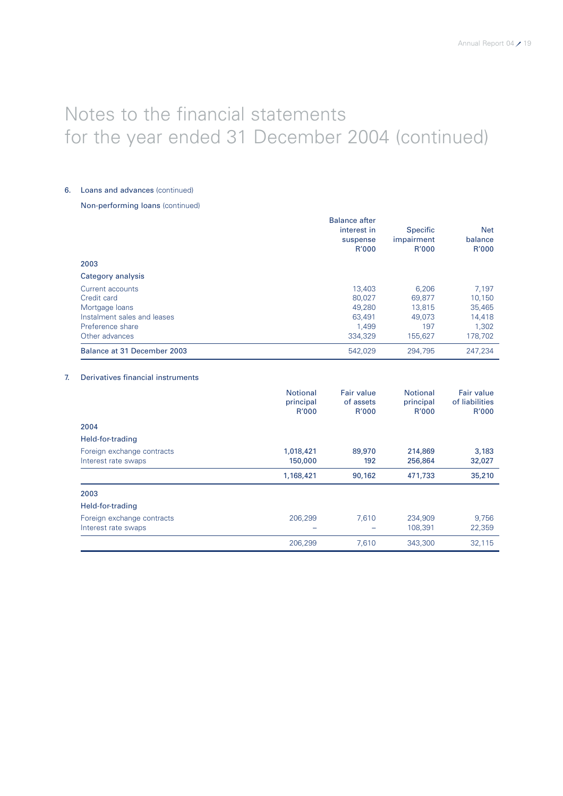## 6. Loans and advances (continued)

## Non-performing loans (continued)

|                             | <b>Balance after</b><br>interest in<br>suspense<br>R'000 | <b>Specific</b><br>impairment<br>R'000 | <b>Net</b><br>balance<br>R'000 |
|-----------------------------|----------------------------------------------------------|----------------------------------------|--------------------------------|
| 2003                        |                                                          |                                        |                                |
| Category analysis           |                                                          |                                        |                                |
| Current accounts            | 13,403                                                   | 6,206                                  | 7,197                          |
| Credit card                 | 80,027                                                   | 69,877                                 | 10,150                         |
| Mortgage loans              | 49,280                                                   | 13,815                                 | 35,465                         |
| Instalment sales and leases | 63.491                                                   | 49.073                                 | 14,418                         |
| Preference share            | 1.499                                                    | 197                                    | 1.302                          |
| Other advances              | 334.329                                                  | 155.627                                | 178.702                        |
| Balance at 31 December 2003 | 542.029                                                  | 294.795                                | 247.234                        |

## 7. Derivatives financial instruments

|                                                   | <b>Notional</b><br>principal<br>R'000 | <b>Fair value</b><br>of assets<br>R'000 | <b>Notional</b><br>principal<br>R'000 | Fair value<br>of liabilities<br>R'000 |
|---------------------------------------------------|---------------------------------------|-----------------------------------------|---------------------------------------|---------------------------------------|
| 2004                                              |                                       |                                         |                                       |                                       |
| Held-for-trading                                  |                                       |                                         |                                       |                                       |
| Foreign exchange contracts<br>Interest rate swaps | 1,018,421<br>150,000                  | 89,970<br>192                           | 214,869<br>256,864                    | 3,183<br>32,027                       |
|                                                   | 1,168,421                             | 90,162                                  | 471,733                               | 35,210                                |
| 2003                                              |                                       |                                         |                                       |                                       |
| Held-for-trading                                  |                                       |                                         |                                       |                                       |
| Foreign exchange contracts<br>Interest rate swaps | 206,299                               | 7,610                                   | 234.909<br>108,391                    | 9,756<br>22,359                       |
|                                                   | 206,299                               | 7,610                                   | 343,300                               | 32,115                                |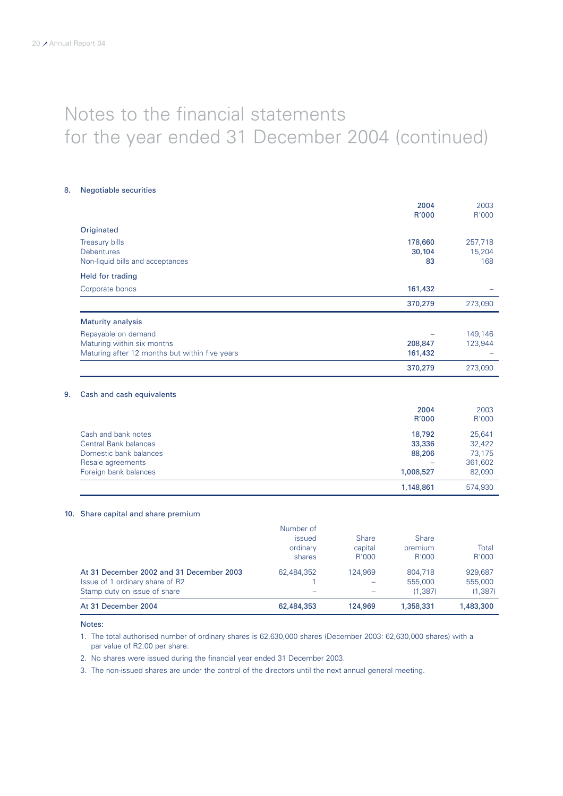## 8. Negotiable securities

|                                                | 2004<br>R'000 | 2003<br>R'000 |
|------------------------------------------------|---------------|---------------|
| Originated                                     |               |               |
| <b>Treasury bills</b>                          | 178,660       | 257,718       |
| <b>Debentures</b>                              | 30,104        | 15,204        |
| Non-liquid bills and acceptances               | 83            | 168           |
| Held for trading                               |               |               |
| Corporate bonds                                | 161,432       |               |
|                                                | 370,279       | 273,090       |
| <b>Maturity analysis</b>                       |               |               |
| Repayable on demand                            |               | 149,146       |
| Maturing within six months                     | 208,847       | 123,944       |
| Maturing after 12 months but within five years | 161,432       |               |
|                                                | 370,279       | 273,090       |
| 9.<br>Cash and cash equivalents                |               |               |
|                                                | 2004          | 2003          |
|                                                | R'000         | R'000         |
| Cash and bank notes                            | 18,792        | 25,641        |
| <b>Central Bank balances</b>                   | 33,336        | 32,422        |
| Domestic bank balances                         | 88,206        | 73,175        |
| Resale agreements                              |               | 361,602       |
| Foreign bank balances                          | 1,008,527     | 82,090        |
|                                                | 1,148,861     | 574,930       |

## 10. Share capital and share premium

| At 31 December 2004                                             | 62,484,353                      | 124,969                 | 1,358,331               | 1,483,300           |
|-----------------------------------------------------------------|---------------------------------|-------------------------|-------------------------|---------------------|
| Issue of 1 ordinary share of R2<br>Stamp duty on issue of share |                                 |                         | 555,000<br>(1.387)      | 555,000<br>(1, 387) |
| At 31 December 2002 and 31 December 2003                        | 62.484.352                      | 124.969                 | 804.718                 | 929.687             |
|                                                                 | shares                          | R'000                   | R'000                   | R'000               |
|                                                                 | Number of<br>issued<br>ordinary | <b>Share</b><br>capital | <b>Share</b><br>premium | Total               |

Notes:

1. The total authorised number of ordinary shares is 62,630,000 shares (December 2003: 62,630,000 shares) with a par value of R2.00 per share.

2. No shares were issued during the financial year ended 31 December 2003.

3. The non-issued shares are under the control of the directors until the next annual general meeting.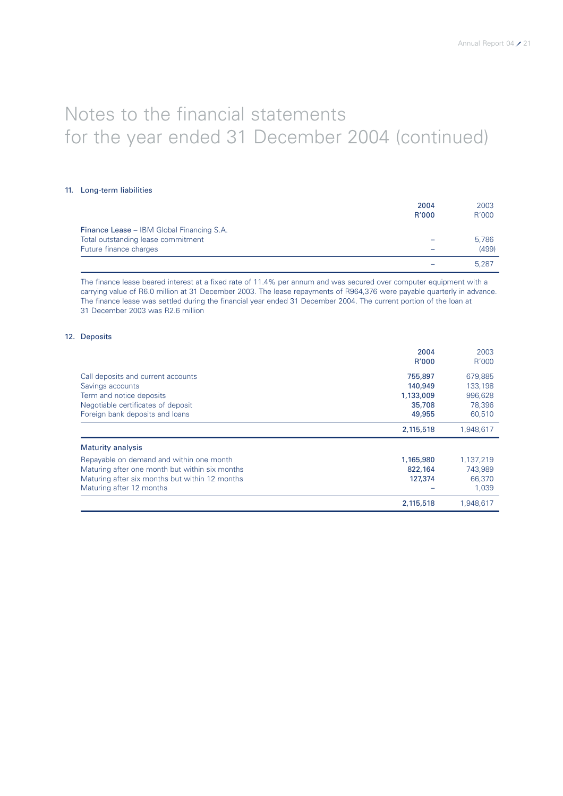## 11. Long-term liabilities

|                                           | 2004  | 2003  |
|-------------------------------------------|-------|-------|
|                                           | R'000 | R'000 |
| Finance Lease - IBM Global Financing S.A. |       |       |
| Total outstanding lease commitment        |       | 5,786 |
| Future finance charges                    |       | (499) |
|                                           |       | 5,287 |

The finance lease beared interest at a fixed rate of 11.4% per annum and was secured over computer equipment with a carrying value of R6.0 million at 31 December 2003. The lease repayments of R964,376 were payable quarterly in advance. The finance lease was settled during the financial year ended 31 December 2004. The current portion of the loan at 31 December 2003 was R2.6 million

## 12. Deposits

|                                                                                                                                                                          | 2004<br>R'000                   | 2003<br>R'000                           |
|--------------------------------------------------------------------------------------------------------------------------------------------------------------------------|---------------------------------|-----------------------------------------|
| Call deposits and current accounts<br>Savings accounts                                                                                                                   | 755,897<br>140,949              | 679,885<br>133,198                      |
| Term and notice deposits<br>Negotiable certificates of deposit<br>Foreign bank deposits and loans                                                                        | 1,133,009<br>35,708<br>49,955   | 996.628<br>78.396<br>60.510             |
|                                                                                                                                                                          | 2,115,518                       | 1,948,617                               |
| <b>Maturity analysis</b>                                                                                                                                                 |                                 |                                         |
| Repayable on demand and within one month<br>Maturing after one month but within six months<br>Maturing after six months but within 12 months<br>Maturing after 12 months | 1,165,980<br>822,164<br>127,374 | 1,137,219<br>743,989<br>66,370<br>1,039 |
|                                                                                                                                                                          | 2,115,518                       | 1.948.617                               |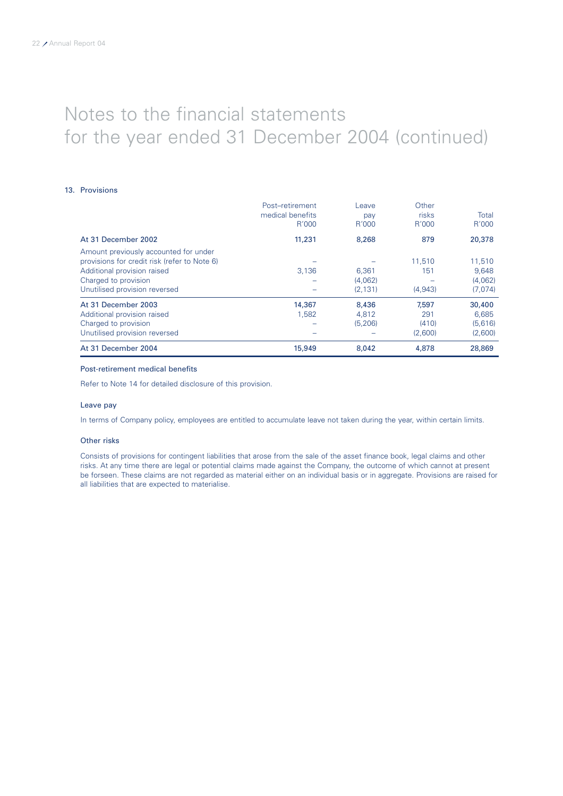### 13. Provisions

|                                              | Post-retirement  | Leave    | Other   |         |
|----------------------------------------------|------------------|----------|---------|---------|
|                                              | medical benefits | pay      | risks   | Total   |
|                                              | R'000            | R'000    | R'000   | R'000   |
| At 31 December 2002                          | 11,231           | 8,268    | 879     | 20,378  |
| Amount previously accounted for under        |                  |          |         |         |
| provisions for credit risk (refer to Note 6) |                  |          | 11.510  | 11,510  |
| Additional provision raised                  | 3,136            | 6,361    | 151     | 9,648   |
| Charged to provision                         |                  | (4,062)  |         | (4,062) |
| Unutilised provision reversed                |                  | (2, 131) | (4,943) | (7,074) |
| At 31 December 2003                          | 14,367           | 8,436    | 7,597   | 30,400  |
| Additional provision raised                  | 1.582            | 4.812    | 291     | 6,685   |
| Charged to provision                         |                  | (5, 206) | (410)   | (5,616) |
| Unutilised provision reversed                |                  |          | (2,600) | (2,600) |
| At 31 December 2004                          | 15,949           | 8,042    | 4,878   | 28,869  |

### Post-retirement medical benefits

Refer to Note 14 for detailed disclosure of this provision.

#### Leave pay

In terms of Company policy, employees are entitled to accumulate leave not taken during the year, within certain limits.

#### Other risks

Consists of provisions for contingent liabilities that arose from the sale of the asset finance book, legal claims and other risks. At any time there are legal or potential claims made against the Company, the outcome of which cannot at present be forseen. These claims are not regarded as material either on an individual basis or in aggregate. Provisions are raised for all liabilities that are expected to materialise.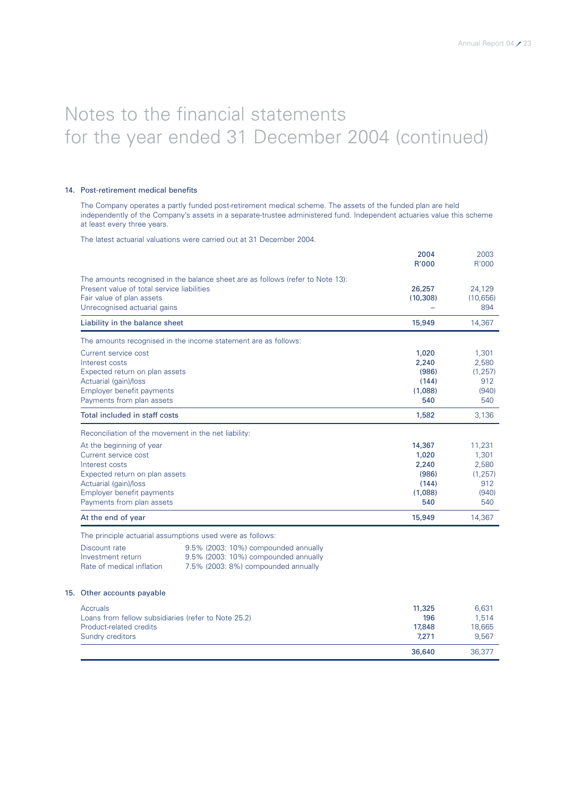### 14. Post-retirement medical benefits

15.

The Company operates a partly funded post-retirement medical scheme. The assets of the funded plan are held independently of the Company's assets in a separate-trustee administered fund. Independent actuaries value this scheme at least every three years.

The latest actuarial valuations were carried out at 31 December 2004.

|                                                                                                                                                                                         |                                                                                                                                                                                  | 2004<br>R'000                                                | 2003<br>R'000                                               |
|-----------------------------------------------------------------------------------------------------------------------------------------------------------------------------------------|----------------------------------------------------------------------------------------------------------------------------------------------------------------------------------|--------------------------------------------------------------|-------------------------------------------------------------|
| Present value of total service liabilities<br>Fair value of plan assets<br>Unrecognised actuarial gains                                                                                 | The amounts recognised in the balance sheet are as follows (refer to Note 13):                                                                                                   | 26,257<br>(10, 308)                                          | 24,129<br>(10, 656)<br>894                                  |
| Liability in the balance sheet                                                                                                                                                          |                                                                                                                                                                                  | 15,949                                                       | 14,367                                                      |
|                                                                                                                                                                                         | The amounts recognised in the income statement are as follows:                                                                                                                   |                                                              |                                                             |
| Current service cost<br>Interest costs<br>Expected return on plan assets<br>Actuarial (gain)/loss<br>Employer benefit payments<br>Payments from plan assets                             |                                                                                                                                                                                  | 1,020<br>2,240<br>(986)<br>(144)<br>(1,088)<br>540           | 1,301<br>2,580<br>(1, 257)<br>912<br>(940)<br>540           |
| Total included in staff costs                                                                                                                                                           |                                                                                                                                                                                  | 1,582                                                        | 3,136                                                       |
| Reconciliation of the movement in the net liability:                                                                                                                                    |                                                                                                                                                                                  |                                                              |                                                             |
| At the beginning of year<br>Current service cost<br>Interest costs<br>Expected return on plan assets<br>Actuarial (gain)/loss<br>Employer benefit payments<br>Payments from plan assets |                                                                                                                                                                                  | 14,367<br>1,020<br>2,240<br>(986)<br>(144)<br>(1,088)<br>540 | 11,231<br>1,301<br>2,580<br>(1, 257)<br>912<br>(940)<br>540 |
| At the end of year                                                                                                                                                                      |                                                                                                                                                                                  | 15,949                                                       | 14,367                                                      |
| Discount rate<br>Investment return<br>Rate of medical inflation                                                                                                                         | The principle actuarial assumptions used were as follows:<br>9.5% (2003: 10%) compounded annually<br>9.5% (2003: 10%) compounded annually<br>7.5% (2003: 8%) compounded annually |                                                              |                                                             |
| Other accounts payable                                                                                                                                                                  |                                                                                                                                                                                  |                                                              |                                                             |
| Accruals<br>Loans from fellow subsidiaries (refer to Note 25.2)<br>Product-related credits<br>Sundry creditors                                                                          |                                                                                                                                                                                  | 11,325<br>196<br>17,848<br>7,271                             | 6,631<br>1,514<br>18,665<br>9,567                           |
|                                                                                                                                                                                         |                                                                                                                                                                                  | 36,640                                                       | 36,377                                                      |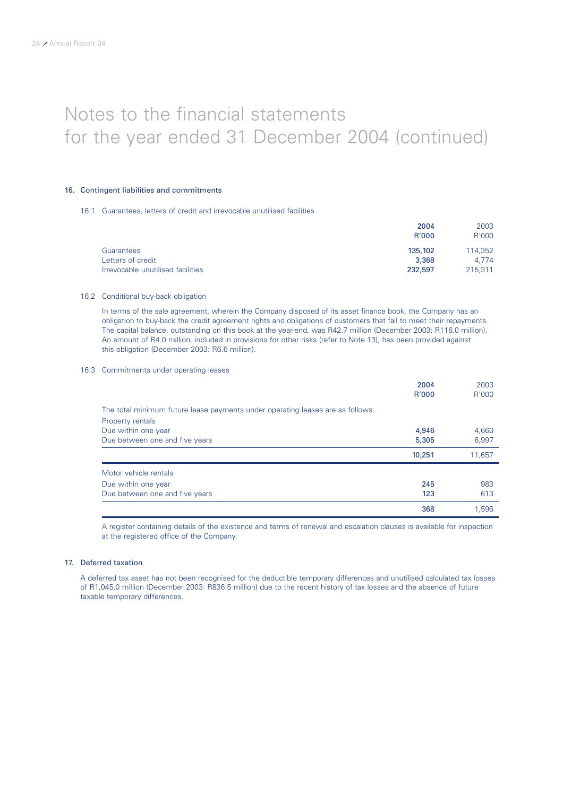## 16. Contingent liabilities and commitments

### 16.1 Guarantees, letters of credit and irrevocable unutilised facilities

|                                   | 2004         | 2003    |
|-----------------------------------|--------------|---------|
|                                   | <b>R'000</b> | R'000   |
| Guarantees                        | 135,102      | 114.352 |
| Letters of credit                 | 3,368        | 4.774   |
| Irrevocable unutilised facilities | 232,597      | 215.311 |

### 16.2 Conditional buy-back obligation

In terms of the sale agreement, wherein the Company disposed of its asset finance book, the Company has an obligation to buy-back the credit agreement rights and obligations of customers that fail to meet their repayments. The capital balance, outstanding on this book at the year-end, was R42.7 million (December 2003: R116.0 million). An amount of R4.0 million, included in provisions for other risks (refer to Note 13), has been provided against this obligation (December 2003: R6.6 million).

## 16.3 Commitments under operating leases

|                                                                                | 2004   | 2003   |
|--------------------------------------------------------------------------------|--------|--------|
|                                                                                | R'000  | R'000  |
| The total minimum future lease payments under operating leases are as follows: |        |        |
| Property rentals                                                               |        |        |
| Due within one year                                                            | 4,946  | 4,660  |
| Due between one and five years                                                 | 5,305  | 6,997  |
|                                                                                | 10,251 | 11,657 |
| Motor vehicle rentals                                                          |        |        |
| Due within one year                                                            | 245    | 983    |
| Due between one and five years                                                 | 123    | 613    |
|                                                                                | 368    | 1.596  |

A register containing details of the existence and terms of renewal and escalation clauses is available for inspection at the registered office of the Company.

## 17. Deferred taxation

A deferred tax asset has not been recognised for the deductible temporary differences and unutilised calculated tax losses of R1,045.0 million (December 2003: R836.5 million) due to the recent history of tax losses and the absence of future taxable temporary differences.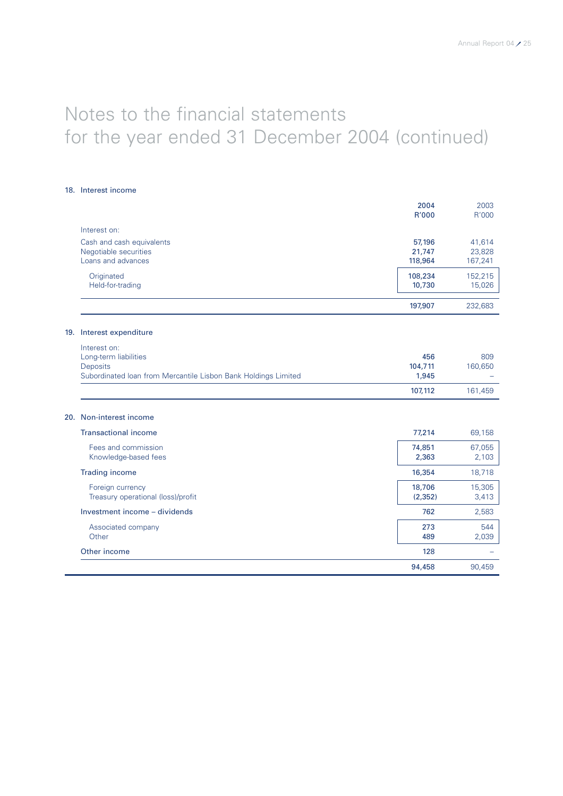## 18. Interest income

|                                                                | 2004<br>R'000     | 2003<br>R'000     |
|----------------------------------------------------------------|-------------------|-------------------|
| Interest on:                                                   |                   |                   |
| Cash and cash equivalents                                      | 57,196            | 41,614            |
| Negotiable securities<br>Loans and advances                    | 21,747<br>118,964 | 23,828<br>167,241 |
|                                                                |                   |                   |
| Originated<br>Held-for-trading                                 | 108,234<br>10,730 | 152,215<br>15,026 |
|                                                                |                   |                   |
|                                                                | 197,907           | 232,683           |
| 19. Interest expenditure                                       |                   |                   |
| Interest on:                                                   |                   |                   |
| Long-term liabilities                                          | 456               | 809               |
| <b>Deposits</b>                                                | 104,711           | 160,650           |
| Subordinated Ioan from Mercantile Lisbon Bank Holdings Limited | 1,945             |                   |
|                                                                | 107,112           | 161,459           |
| 20. Non-interest income                                        |                   |                   |
| <b>Transactional income</b>                                    | 77,214            | 69,158            |
| Fees and commission                                            | 74,851            | 67,055            |
| Knowledge-based fees                                           | 2,363             | 2,103             |
| <b>Trading income</b>                                          | 16,354            | 18,718            |
| Foreign currency                                               | 18,706            | 15,305            |
| Treasury operational (loss)/profit                             | (2, 352)          | 3,413             |
| Investment income - dividends                                  | 762               | 2,583             |
| Associated company                                             | 273               | 544               |
| Other                                                          | 489               | 2,039             |
| Other income                                                   | 128               |                   |
|                                                                | 94,458            | 90,459            |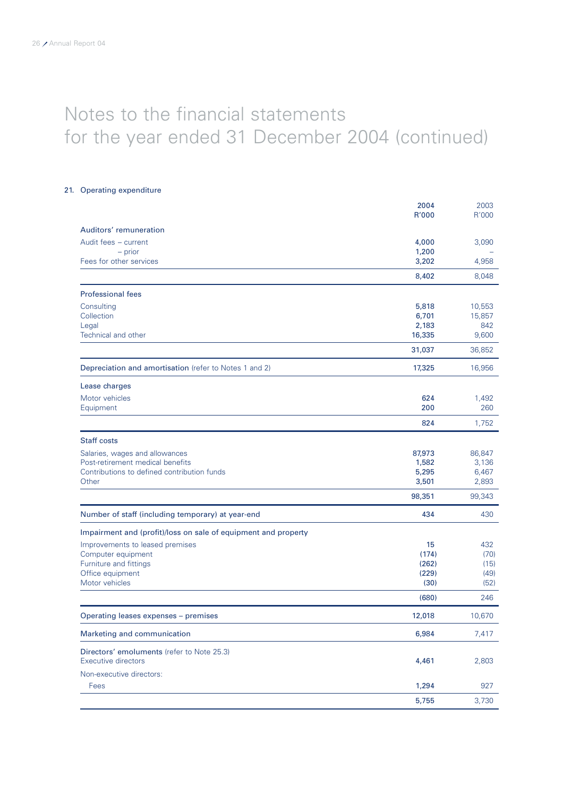## 21. Operating expenditure

|                                                                | 2004   | 2003   |
|----------------------------------------------------------------|--------|--------|
|                                                                | R'000  | R'000  |
| Auditors' remuneration                                         |        |        |
| Audit fees - current                                           | 4,000  | 3,090  |
| - prior                                                        | 1,200  |        |
| Fees for other services                                        | 3,202  | 4,958  |
|                                                                | 8,402  | 8,048  |
| <b>Professional fees</b>                                       |        |        |
| Consulting                                                     | 5,818  | 10,553 |
| Collection                                                     | 6,701  | 15,857 |
| Legal                                                          | 2,183  | 842    |
| Technical and other                                            | 16,335 | 9,600  |
|                                                                | 31,037 | 36,852 |
| Depreciation and amortisation (refer to Notes 1 and 2)         | 17,325 | 16,956 |
| Lease charges                                                  |        |        |
| Motor vehicles                                                 | 624    | 1,492  |
| Equipment                                                      | 200    | 260    |
|                                                                | 824    | 1,752  |
| <b>Staff costs</b>                                             |        |        |
| Salaries, wages and allowances                                 | 87,973 | 86,847 |
| Post-retirement medical benefits                               | 1,582  | 3,136  |
| Contributions to defined contribution funds                    | 5,295  | 6,467  |
| Other                                                          | 3,501  | 2,893  |
|                                                                | 98,351 | 99,343 |
| Number of staff (including temporary) at year-end              | 434    | 430    |
| Impairment and (profit)/loss on sale of equipment and property |        |        |
| Improvements to leased premises                                | 15     | 432    |
| Computer equipment                                             | (174)  | (70)   |
| Furniture and fittings                                         | (262)  | (15)   |
| Office equipment                                               | (229)  | (49)   |
| Motor vehicles                                                 | (30)   | (52)   |
|                                                                | (680)  | 246    |
| Operating leases expenses - premises                           | 12,018 | 10,670 |
| Marketing and communication                                    | 6,984  | 7,417  |
| Directors' emoluments (refer to Note 25.3)                     |        |        |
| <b>Executive directors</b>                                     | 4,461  | 2,803  |
| Non-executive directors:                                       |        |        |
| Fees                                                           | 1,294  | 927    |
|                                                                | 5,755  | 3,730  |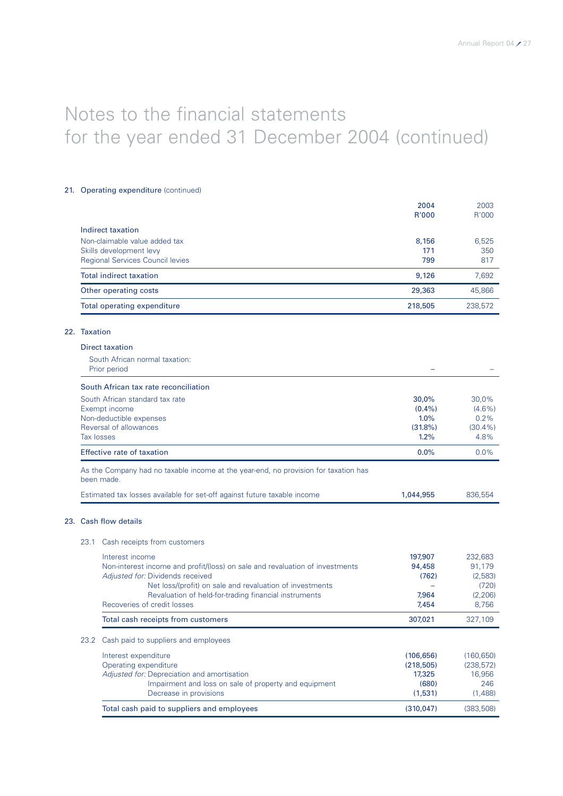## 21. Operating expenditure (continued)

|              |                                                                                                   | 2004<br>R'000      | 2003<br>R'000      |
|--------------|---------------------------------------------------------------------------------------------------|--------------------|--------------------|
|              | Indirect taxation                                                                                 |                    |                    |
|              | Non-claimable value added tax                                                                     | 8,156              | 6,525              |
|              | Skills development levy                                                                           | 171                | 350                |
|              | Regional Services Council levies                                                                  | 799                | 817                |
|              | <b>Total indirect taxation</b>                                                                    | 9,126              | 7,692              |
|              | Other operating costs                                                                             | 29,363             | 45,866             |
|              | Total operating expenditure                                                                       | 218,505            | 238,572            |
| 22. Taxation |                                                                                                   |                    |                    |
|              | <b>Direct taxation</b>                                                                            |                    |                    |
|              | South African normal taxation:<br>Prior period                                                    |                    |                    |
|              | South African tax rate reconciliation                                                             |                    |                    |
|              | South African standard tax rate                                                                   | 30,0%              | 30,0%              |
|              | Exempt income                                                                                     | $(0.4\%)$          | $(4.6\%)$          |
|              | Non-deductible expenses                                                                           | 1.0%               | 0.2%               |
|              | Reversal of allowances<br><b>Tax losses</b>                                                       | $(31.8\%)$<br>1.2% | $(30.4\%)$<br>4.8% |
|              | Effective rate of taxation                                                                        | 0.0%               | 0.0%               |
|              | As the Company had no taxable income at the year-end, no provision for taxation has<br>been made. |                    |                    |
|              | Estimated tax losses available for set-off against future taxable income                          | 1,044,955          | 836,554            |
|              | 23. Cash flow details                                                                             |                    |                    |
| 23.1         | Cash receipts from customers                                                                      |                    |                    |
|              | Interest income                                                                                   | 197,907            | 232,683            |
|              | Non-interest income and profit/(loss) on sale and revaluation of investments                      | 94,458             | 91,179             |
|              | Adjusted for: Dividends received                                                                  | (762)              | (2,583)            |
|              | Net loss/(profit) on sale and revaluation of investments                                          | -                  | (720)              |
|              | Revaluation of held-for-trading financial instruments<br>Recoveries of credit losses              | 7,964<br>7,454     | (2, 206)<br>8,756  |
|              | Total cash receipts from customers                                                                | 307,021            | 327,109            |
| 23.2         | Cash paid to suppliers and employees                                                              |                    |                    |
|              | Interest expenditure                                                                              | (106, 656)         | (160, 650)         |
|              | Operating expenditure                                                                             | (218, 505)         | (238, 572)         |
|              | Adjusted for: Depreciation and amortisation                                                       | 17,325             | 16,956             |
|              | Impairment and loss on sale of property and equipment<br>Decrease in provisions                   | (680)<br>(1,531)   | 246<br>(1,488)     |
|              | Total cash paid to suppliers and employees                                                        | (310, 047)         | (383, 508)         |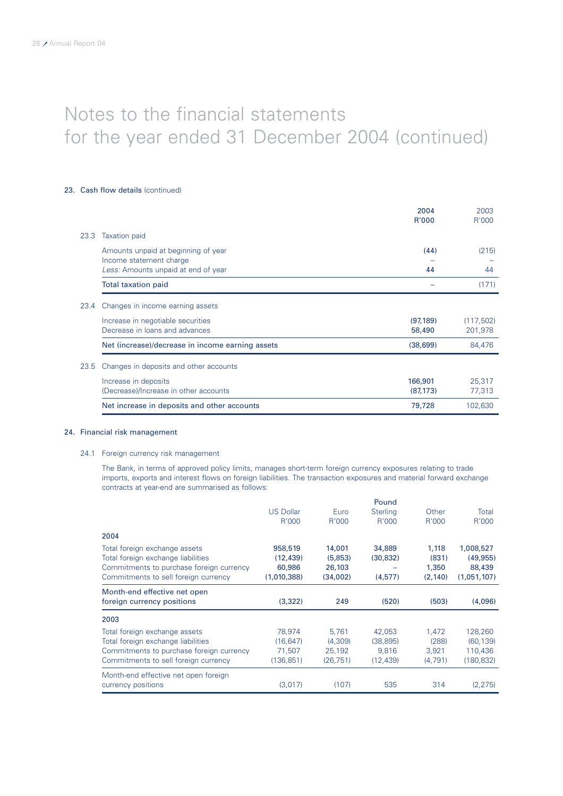## 23. Cash flow details (continued)

|      |                                                  | 2004      | 2003       |
|------|--------------------------------------------------|-----------|------------|
|      |                                                  | R'000     | R'000      |
| 23.3 | <b>Taxation paid</b>                             |           |            |
|      | Amounts unpaid at beginning of year              | (44)      | (215)      |
|      | Income statement charge                          |           |            |
|      | Less: Amounts unpaid at end of year              | 44        | 44         |
|      | <b>Total taxation paid</b>                       |           | (171)      |
| 23.4 | Changes in income earning assets                 |           |            |
|      | Increase in negotiable securities                | (97, 189) | (117, 502) |
|      | Decrease in loans and advances                   | 58,490    | 201,978    |
|      |                                                  |           |            |
|      | Net (increase)/decrease in income earning assets | (38, 699) | 84,476     |
| 23.5 | Changes in deposits and other accounts           |           |            |
|      | Increase in deposits                             | 166,901   | 25,317     |
|      | (Decrease)/Increase in other accounts            | (87, 173) | 77,313     |
|      |                                                  |           |            |
|      | Net increase in deposits and other accounts      | 79,728    | 102,630    |

### 24. Financial risk management

## 24.1 Foreign currency risk management

The Bank, in terms of approved policy limits, manages short-term foreign currency exposures relating to trade imports, exports and interest flows on foreign liabilities. The transaction exposures and material forward exchange contracts at year-end are summarised as follows:

|                                          |                  |           | Pound           |          |             |
|------------------------------------------|------------------|-----------|-----------------|----------|-------------|
|                                          | <b>US Dollar</b> | Euro      | <b>Sterling</b> | Other    | Total       |
|                                          | R'000            | R'000     | R'000           | R'000    | R'000       |
| 2004                                     |                  |           |                 |          |             |
| Total foreign exchange assets            | 958,519          | 14,001    | 34,889          | 1,118    | 1,008,527   |
| Total foreign exchange liabilities       | (12, 439)        | (5,853)   | (30, 832)       | (831)    | (49, 955)   |
| Commitments to purchase foreign currency | 60,986           | 26,103    |                 | 1,350    | 88,439      |
| Commitments to sell foreign currency     | (1,010,388)      | (34,002)  | (4,577)         | (2, 140) | (1,051,107) |
| Month-end effective net open             |                  |           |                 |          |             |
|                                          |                  |           |                 |          |             |
| foreign currency positions               | (3,322)          | 249       | (520)           | (503)    | (4,096)     |
| 2003                                     |                  |           |                 |          |             |
| Total foreign exchange assets            | 78,974           | 5,761     | 42,053          | 1,472    | 128,260     |
| Total foreign exchange liabilities       | (16, 647)        | (4,309)   | (38, 895)       | (288)    | (60, 139)   |
| Commitments to purchase foreign currency | 71,507           | 25,192    | 9.816           | 3,921    | 110,436     |
| Commitments to sell foreign currency     | (136, 851)       | (26, 751) | (12, 439)       | (4,791)  | (180, 832)  |
| Month-end effective net open foreign     |                  |           |                 |          |             |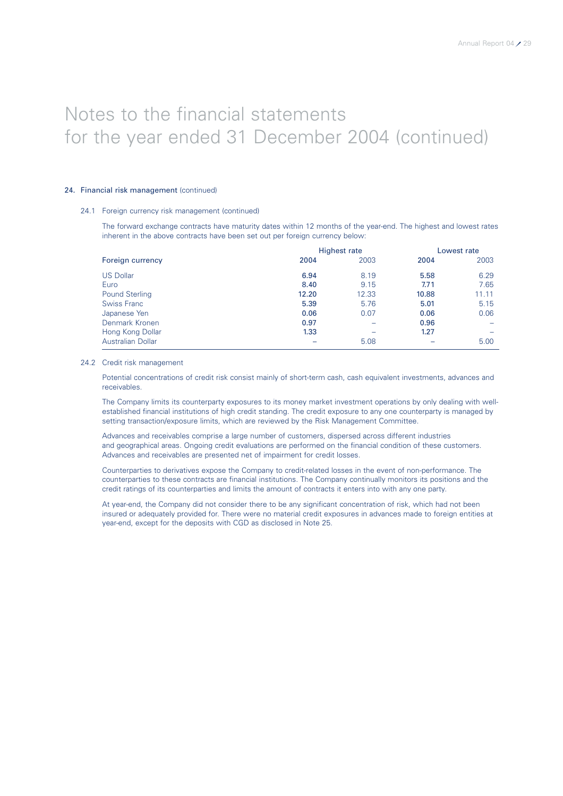## 24. Financial risk management (continued)

### 24.1 Foreign currency risk management (continued)

The forward exchange contracts have maturity dates within 12 months of the year-end. The highest and lowest rates inherent in the above contracts have been set out per foreign currency below:

|                          | Highest rate |       |       | Lowest rate |  |
|--------------------------|--------------|-------|-------|-------------|--|
| Foreign currency         | 2004         | 2003  | 2004  | 2003        |  |
| <b>US Dollar</b>         | 6.94         | 8.19  | 5.58  | 6.29        |  |
| Euro                     | 8.40         | 9.15  | 7.71  | 7.65        |  |
| <b>Pound Sterling</b>    | 12.20        | 12.33 | 10.88 | 11.11       |  |
| <b>Swiss Franc</b>       | 5.39         | 5.76  | 5.01  | 5.15        |  |
| Japanese Yen             | 0.06         | 0.07  | 0.06  | 0.06        |  |
| Denmark Kronen           | 0.97         |       | 0.96  |             |  |
| Hong Kong Dollar         | 1.33         |       | 1.27  |             |  |
| <b>Australian Dollar</b> |              | 5.08  |       | 5.00        |  |

#### 24.2 Credit risk management

Potential concentrations of credit risk consist mainly of short-term cash, cash equivalent investments, advances and receivables.

The Company limits its counterparty exposures to its money market investment operations by only dealing with wellestablished financial institutions of high credit standing. The credit exposure to any one counterparty is managed by setting transaction/exposure limits, which are reviewed by the Risk Management Committee.

Advances and receivables comprise a large number of customers, dispersed across different industries and geographical areas. Ongoing credit evaluations are performed on the financial condition of these customers. Advances and receivables are presented net of impairment for credit losses.

Counterparties to derivatives expose the Company to credit-related losses in the event of non-performance. The counterparties to these contracts are financial institutions. The Company continually monitors its positions and the credit ratings of its counterparties and limits the amount of contracts it enters into with any one party.

At year-end, the Company did not consider there to be any significant concentration of risk, which had not been insured or adequately provided for. There were no material credit exposures in advances made to foreign entities at year-end, except for the deposits with CGD as disclosed in Note 25.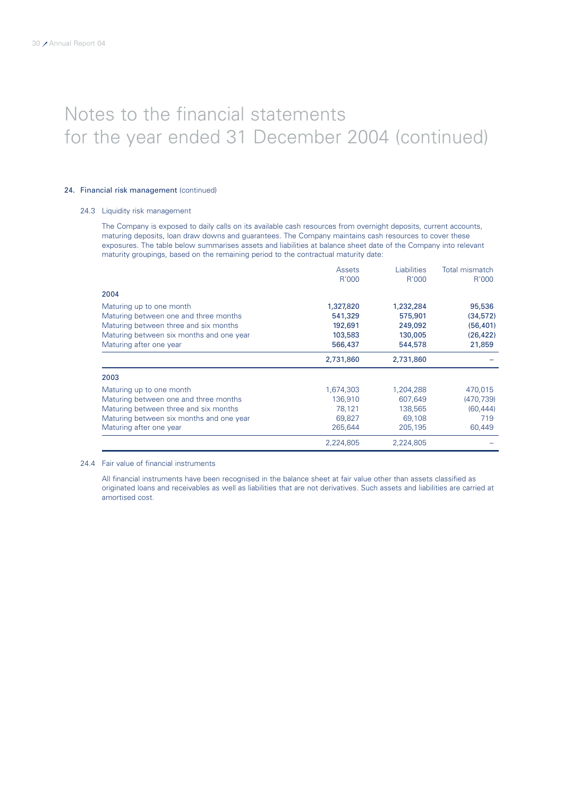## 24. Financial risk management (continued)

## 24.3 Liquidity risk management

The Company is exposed to daily calls on its available cash resources from overnight deposits, current accounts, maturing deposits, loan draw downs and guarantees. The Company maintains cash resources to cover these exposures. The table below summarises assets and liabilities at balance sheet date of the Company into relevant maturity groupings, based on the remaining period to the contractual maturity date:

|                                          | Assets    | Liabilities | Total mismatch |
|------------------------------------------|-----------|-------------|----------------|
|                                          | R'000     | R'000       | R'000          |
| 2004                                     |           |             |                |
| Maturing up to one month                 | 1,327,820 | 1,232,284   | 95,536         |
| Maturing between one and three months    | 541,329   | 575,901     | (34, 572)      |
| Maturing between three and six months    | 192,691   | 249,092     | (56, 401)      |
| Maturing between six months and one year | 103,583   | 130,005     | (26, 422)      |
| Maturing after one year                  | 566,437   | 544,578     | 21,859         |
|                                          | 2,731,860 | 2,731,860   |                |
| 2003                                     |           |             |                |
| Maturing up to one month                 | 1,674,303 | 1,204,288   | 470,015        |
| Maturing between one and three months    | 136,910   | 607,649     | (470, 739)     |
| Maturing between three and six months    | 78,121    | 138,565     | (60, 444)      |
| Maturing between six months and one year | 69,827    | 69,108      | 719            |
| Maturing after one year                  | 265,644   | 205,195     | 60,449         |
|                                          | 2,224,805 | 2,224,805   |                |

### 24.4 Fair value of financial instruments

All financial instruments have been recognised in the balance sheet at fair value other than assets classified as originated loans and receivables as well as liabilities that are not derivatives. Such assets and liabilities are carried at amortised cost.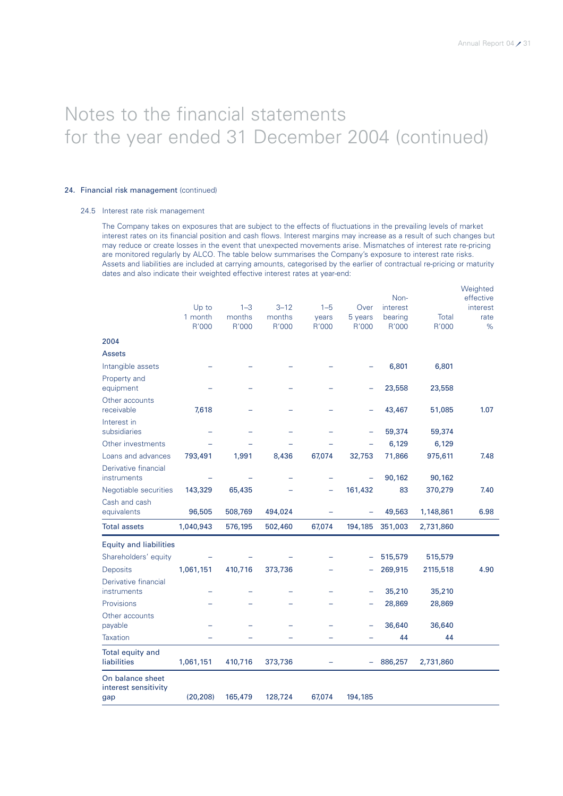Weighted

## Notes to the financial statements for the year ended 31 December 2004 (continued)

## 24. Financial risk management (continued)

### 24.5 Interest rate risk management

The Company takes on exposures that are subject to the effects of fluctuations in the prevailing levels of market interest rates on its financial position and cash flows. Interest margins may increase as a result of such changes but may reduce or create losses in the event that unexpected movements arise. Mismatches of interest rate re-pricing are monitored regularly by ALCO. The table below summarises the Company's exposure to interest rate risks. Assets and liabilities are included at carrying amounts, categorised by the earlier of contractual re-pricing or maturity dates and also indicate their weighted effective interest rates at year-end:

|                                          |           |         |          |         |         | Non-     |           | $\cdots$<br>effective |
|------------------------------------------|-----------|---------|----------|---------|---------|----------|-----------|-----------------------|
|                                          | Up to     | $1 - 3$ | $3 - 12$ | $1 - 5$ | Over    | interest |           | interest              |
|                                          | 1 month   | months  | months   | years   | 5 years | bearing  | Total     | rate                  |
|                                          | R'000     | R'000   | R'000    | R'000   | R'000   | R'000    | R'000     | %                     |
| 2004                                     |           |         |          |         |         |          |           |                       |
| <b>Assets</b>                            |           |         |          |         |         |          |           |                       |
| Intangible assets                        |           |         |          |         |         | 6,801    | 6,801     |                       |
| Property and<br>equipment                |           |         |          |         |         | 23,558   | 23,558    |                       |
| Other accounts                           |           |         |          |         |         |          |           |                       |
| receivable                               | 7,618     |         |          |         |         | 43,467   | 51,085    | 1.07                  |
| Interest in<br>subsidiaries              |           |         |          |         |         | 59,374   | 59,374    |                       |
| Other investments                        |           |         |          |         |         | 6,129    | 6,129     |                       |
| Loans and advances                       | 793,491   | 1,991   | 8,436    | 67,074  | 32,753  | 71,866   | 975,611   | 7.48                  |
| Derivative financial                     |           |         |          |         |         |          |           |                       |
| instruments                              |           |         |          |         |         | 90,162   | 90,162    |                       |
| Negotiable securities                    | 143,329   | 65,435  |          |         | 161,432 | 83       | 370,279   | 7.40                  |
| Cash and cash<br>equivalents             | 96,505    | 508,769 | 494,024  |         |         | 49,563   | 1,148,861 | 6.98                  |
| <b>Total assets</b>                      | 1,040,943 | 576,195 | 502,460  | 67,074  | 194,185 | 351,003  | 2,731,860 |                       |
| <b>Equity and liabilities</b>            |           |         |          |         |         |          |           |                       |
| Shareholders' equity                     |           |         |          |         | ÷       | 515,579  | 515,579   |                       |
| <b>Deposits</b>                          | 1,061,151 | 410,716 | 373,736  |         |         | 269,915  | 2115,518  | 4.90                  |
| Derivative financial                     |           |         |          |         |         |          |           |                       |
| instruments                              |           |         |          |         | ÷       | 35,210   | 35,210    |                       |
| Provisions                               |           |         |          |         |         | 28,869   | 28,869    |                       |
| Other accounts<br>payable                |           |         |          |         |         | 36,640   | 36,640    |                       |
| <b>Taxation</b>                          |           |         |          |         |         | 44       | 44        |                       |
|                                          |           |         |          |         |         |          |           |                       |
| Total equity and<br>liabilities          | 1,061,151 | 410,716 | 373,736  |         | ÷       | 886,257  | 2,731,860 |                       |
| On balance sheet<br>interest sensitivity |           |         |          |         |         |          |           |                       |
| gap                                      | (20, 208) | 165,479 | 128,724  | 67,074  | 194,185 |          |           |                       |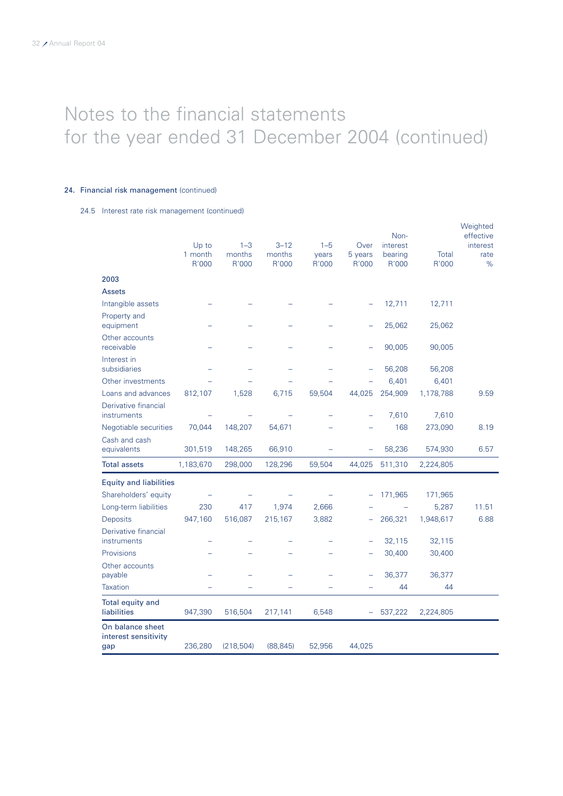## 24. Financial risk management (continued)

24.5 Interest rate risk management (continued)

|                                                 | Up to<br>1 month | $1 - 3$<br>months | $3 - 12$<br>months       | $1 - 5$<br>years | Over<br>5 years          | Non-<br>interest<br>bearing | <b>Total</b> | Weighted<br>effective<br>interest<br>rate |
|-------------------------------------------------|------------------|-------------------|--------------------------|------------------|--------------------------|-----------------------------|--------------|-------------------------------------------|
|                                                 | R'000            | R'000             | R'000                    | R'000            | R'000                    | R'000                       | R'000        | %                                         |
| 2003                                            |                  |                   |                          |                  |                          |                             |              |                                           |
| <b>Assets</b>                                   |                  |                   |                          |                  |                          |                             |              |                                           |
| Intangible assets                               |                  |                   |                          |                  |                          | 12,711                      | 12,711       |                                           |
| Property and<br>equipment                       |                  |                   |                          |                  |                          | 25,062                      | 25,062       |                                           |
| Other accounts<br>receivable                    |                  |                   |                          |                  |                          | 90,005                      | 90,005       |                                           |
| Interest in<br>subsidiaries                     |                  |                   |                          |                  |                          | 56,208                      | 56,208       |                                           |
| Other investments                               |                  |                   |                          |                  |                          | 6,401                       | 6,401        |                                           |
| Loans and advances                              | 812,107          | 1,528             | 6,715                    | 59,504           | 44,025                   | 254,909                     | 1,178,788    | 9.59                                      |
| Derivative financial<br>instruments             |                  |                   |                          |                  |                          | 7,610                       | 7,610        |                                           |
| Negotiable securities                           | 70,044           | 148,207           | 54,671                   |                  |                          | 168                         | 273,090      | 8.19                                      |
| Cash and cash<br>equivalents                    | 301,519          | 148,265           | 66,910                   |                  | $\equiv$                 | 58,236                      | 574,930      | 6.57                                      |
| <b>Total assets</b>                             | 1,183,670        | 298,000           | 128,296                  | 59,504           | 44,025                   | 511,310                     | 2,224,805    |                                           |
| <b>Equity and liabilities</b>                   |                  |                   |                          |                  |                          |                             |              |                                           |
| Shareholders' equity                            |                  |                   |                          |                  |                          | 171,965                     | 171,965      |                                           |
| Long-term liabilities                           | 230              | 417               | 1,974                    | 2,666            |                          | $\overline{\phantom{0}}$    | 5,287        | 11.51                                     |
| Deposits                                        | 947,160          | 516,087           | 215,167                  | 3,882            |                          | 266,321                     | 1,948,617    | 6.88                                      |
| Derivative financial<br>instruments             |                  |                   |                          |                  |                          | 32,115                      | 32,115       |                                           |
| Provisions                                      |                  |                   |                          |                  |                          | 30,400                      | 30,400       |                                           |
| Other accounts<br>payable                       |                  |                   |                          |                  |                          | 36,377                      | 36,377       |                                           |
| Taxation                                        |                  |                   | $\overline{\phantom{0}}$ |                  |                          | 44                          | 44           |                                           |
| Total equity and<br>liabilities                 | 947,390          | 516,504           | 217,141                  | 6,548            | $\overline{\phantom{a}}$ | 537,222                     | 2,224,805    |                                           |
| On balance sheet<br>interest sensitivity<br>gap | 236,280          | (218, 504)        | (88, 845)                | 52,956           | 44,025                   |                             |              |                                           |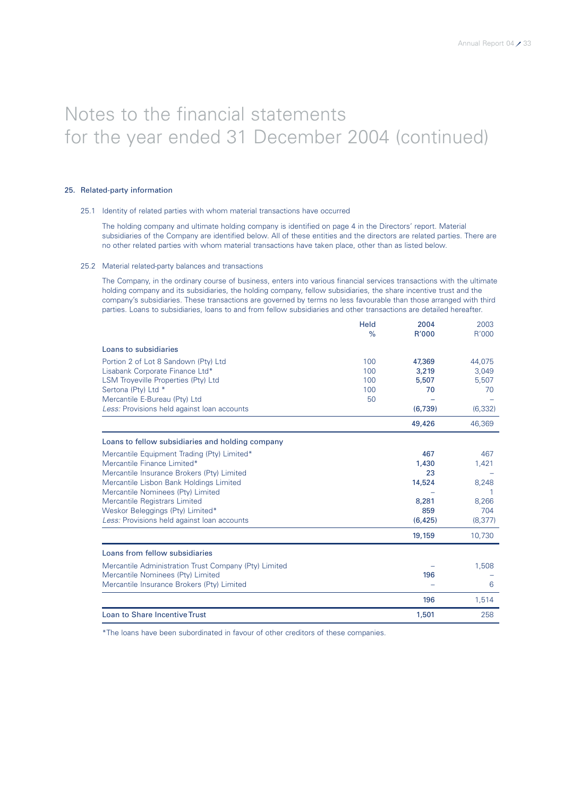## 25. Related-party information

### 25.1 Identity of related parties with whom material transactions have occurred

The holding company and ultimate holding company is identified on page 4 in the Directors' report. Material subsidiaries of the Company are identified below. All of these entities and the directors are related parties. There are no other related parties with whom material transactions have taken place, other than as listed below.

#### 25.2 Material related-party balances and transactions

The Company, in the ordinary course of business, enters into various financial services transactions with the ultimate holding company and its subsidiaries, the holding company, fellow subsidiaries, the share incentive trust and the company's subsidiaries. These transactions are governed by terms no less favourable than those arranged with third parties. Loans to subsidiaries, loans to and from fellow subsidiaries and other transactions are detailed hereafter.

|                                                       | Held<br>$\frac{9}{6}$ | 2004<br>R'000 | 2003<br>R'000 |
|-------------------------------------------------------|-----------------------|---------------|---------------|
|                                                       |                       |               |               |
| Loans to subsidiaries                                 |                       |               |               |
| Portion 2 of Lot 8 Sandown (Pty) Ltd                  | 100                   | 47,369        | 44,075        |
| Lisabank Corporate Finance Ltd*                       | 100                   | 3,219         | 3,049         |
| <b>LSM Troveville Properties (Pty) Ltd</b>            | 100                   | 5,507         | 5,507         |
| Sertona (Pty) Ltd *                                   | 100                   | 70            | 70            |
| Mercantile E-Bureau (Pty) Ltd                         | 50                    |               |               |
| Less: Provisions held against loan accounts           |                       | (6,739)       | (6, 332)      |
|                                                       |                       | 49,426        | 46,369        |
| Loans to fellow subsidiaries and holding company      |                       |               |               |
| Mercantile Equipment Trading (Pty) Limited*           |                       | 467           | 467           |
| Mercantile Finance Limited*                           |                       | 1,430         | 1,421         |
| Mercantile Insurance Brokers (Pty) Limited            |                       | 23            |               |
| Mercantile Lisbon Bank Holdings Limited               |                       | 14,524        | 8,248         |
| Mercantile Nominees (Pty) Limited                     |                       |               |               |
| Mercantile Registrars Limited                         |                       | 8,281         | 8,266         |
| Weskor Beleggings (Pty) Limited*                      |                       | 859           | 704           |
| Less: Provisions held against loan accounts           |                       | (6, 425)      | (8, 377)      |
|                                                       |                       | 19,159        | 10,730        |
| Loans from fellow subsidiaries                        |                       |               |               |
| Mercantile Administration Trust Company (Pty) Limited |                       |               | 1,508         |
| Mercantile Nominees (Pty) Limited                     |                       | 196           |               |
| Mercantile Insurance Brokers (Pty) Limited            |                       |               | 6             |
|                                                       |                       | 196           | 1,514         |
| <b>Loan to Share Incentive Trust</b>                  |                       | 1,501         | 258           |

\*The loans have been subordinated in favour of other creditors of these companies.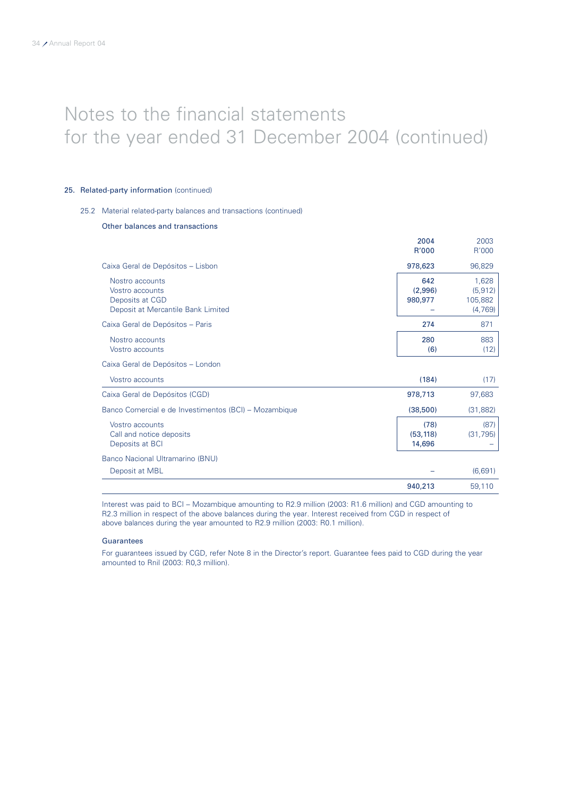## 25. Related-party information (continued)

## 25.2 Material related-party balances and transactions (continued)

## Other balances and transactions

|                                                                                             | 2004<br>R'000               | 2003<br>R'000                           |
|---------------------------------------------------------------------------------------------|-----------------------------|-----------------------------------------|
| Caixa Geral de Depósitos - Lisbon                                                           | 978,623                     | 96,829                                  |
| Nostro accounts<br>Vostro accounts<br>Deposits at CGD<br>Deposit at Mercantile Bank Limited | 642<br>(2,996)<br>980,977   | 1,628<br>(5, 912)<br>105,882<br>(4,769) |
| Caixa Geral de Depósitos - Paris                                                            | 274                         | 871                                     |
| Nostro accounts<br>Vostro accounts                                                          | 280<br>(6)                  | 883<br>(12)                             |
| Caixa Geral de Depósitos - London                                                           |                             |                                         |
| Vostro accounts                                                                             | (184)                       | (17)                                    |
| Caixa Geral de Depósitos (CGD)                                                              | 978,713                     | 97,683                                  |
| Banco Comercial e de Investimentos (BCI) – Mozambique                                       | (38,500)                    | (31, 882)                               |
| Vostro accounts<br>Call and notice deposits<br>Deposits at BCI                              | (78)<br>(53, 118)<br>14,696 | (87)<br>(31, 795)                       |
| Banco Nacional Ultramarino (BNU)                                                            |                             |                                         |
| Deposit at MBL                                                                              |                             | (6,691)                                 |
|                                                                                             | 940,213                     | 59,110                                  |

Interest was paid to BCI – Mozambique amounting to R2.9 million (2003: R1.6 million) and CGD amounting to R2.3 million in respect of the above balances during the year. Interest received from CGD in respect of above balances during the year amounted to R2.9 million (2003: R0.1 million).

#### **Guarantees**

For guarantees issued by CGD, refer Note 8 in the Director's report. Guarantee fees paid to CGD during the year amounted to Rnil (2003: R0,3 million).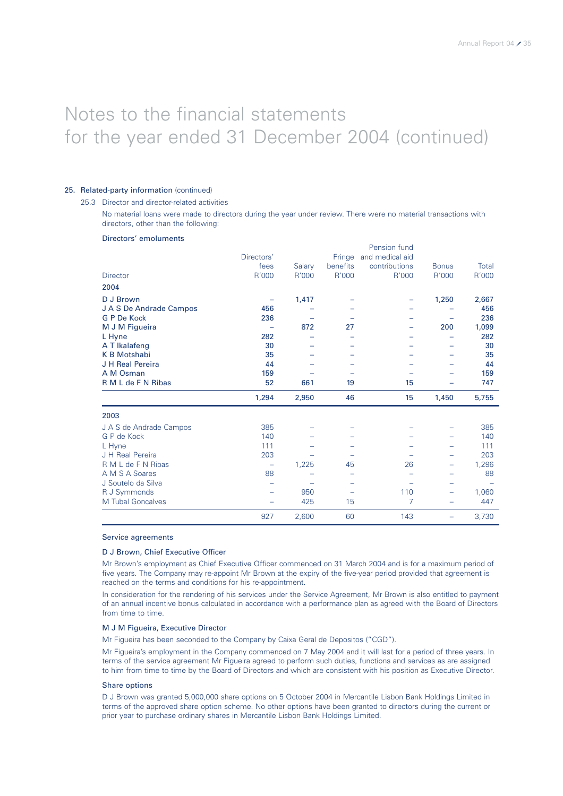#### 25. Related-party information (continued)

#### 25.3 Director and director-related activities

No material loans were made to directors during the year under review. There were no material transactions with directors, other than the following:

#### Directors' emoluments

|                         |            |        |          | Pension fund    |              |       |
|-------------------------|------------|--------|----------|-----------------|--------------|-------|
|                         | Directors' |        | Fringe   | and medical aid |              |       |
|                         | fees       | Salary | benefits | contributions   | <b>Bonus</b> | Total |
| Director                | R'000      | R'000  | R'000    | R'000           | R'000        | R'000 |
| 2004                    |            |        |          |                 |              |       |
| D J Brown               |            | 1,417  |          |                 | 1,250        | 2,667 |
| J A S De Andrade Campos | 456        |        |          |                 |              | 456   |
| G P De Kock             | 236        |        |          |                 |              | 236   |
| M J M Figueira          |            | 872    | 27       |                 | 200          | 1,099 |
| L Hyne                  | 282        |        |          |                 |              | 282   |
| A T Ikalafeng           | 30         |        |          |                 |              | 30    |
| <b>K B Motshabi</b>     | 35         |        |          |                 |              | 35    |
| J H Real Pereira        | 44         |        |          |                 |              | 44    |
| A M Osman               | 159        |        |          |                 |              | 159   |
| R M L de F N Ribas      | 52         | 661    | 19       | 15              |              | 747   |
|                         | 1,294      | 2,950  | 46       | 15              | 1,450        | 5,755 |
| 2003                    |            |        |          |                 |              |       |
| J A S de Andrade Campos | 385        |        |          |                 |              | 385   |
| G P de Kock             | 140        |        |          |                 |              | 140   |
| L Hyne                  | 111        |        |          |                 |              | 111   |
| J H Real Pereira        | 203        |        |          |                 |              | 203   |
| R M L de F N Ribas      |            | 1,225  | 45       | 26              |              | 1,296 |
| A M S A Soares          | 88         |        |          |                 |              | 88    |
| J Soutelo da Silva      | -          |        |          |                 |              |       |
| R J Symmonds            |            | 950    | -        | 110             |              | 1,060 |
| M Tubal Goncalves       |            | 425    | 15       | 7               |              | 447   |
|                         |            |        |          |                 |              |       |

#### Service agreements

### D J Brown, Chief Executive Officer

Mr Brown's employment as Chief Executive Officer commenced on 31 March 2004 and is for a maximum period of five years. The Company may re-appoint Mr Brown at the expiry of the five-year period provided that agreement is reached on the terms and conditions for his re-appointment.

In consideration for the rendering of his services under the Service Agreement, Mr Brown is also entitled to payment of an annual incentive bonus calculated in accordance with a performance plan as agreed with the Board of Directors from time to time.

### M J M Figueira, Executive Director

Mr Figueira has been seconded to the Company by Caixa Geral de Depositos ("CGD").

Mr Figueira's employment in the Company commenced on 7 May 2004 and it will last for a period of three years. In terms of the service agreement Mr Figueira agreed to perform such duties, functions and services as are assigned to him from time to time by the Board of Directors and which are consistent with his position as Executive Director.

#### Share options

D J Brown was granted 5,000,000 share options on 5 October 2004 in Mercantile Lisbon Bank Holdings Limited in terms of the approved share option scheme. No other options have been granted to directors during the current or prior year to purchase ordinary shares in Mercantile Lisbon Bank Holdings Limited.